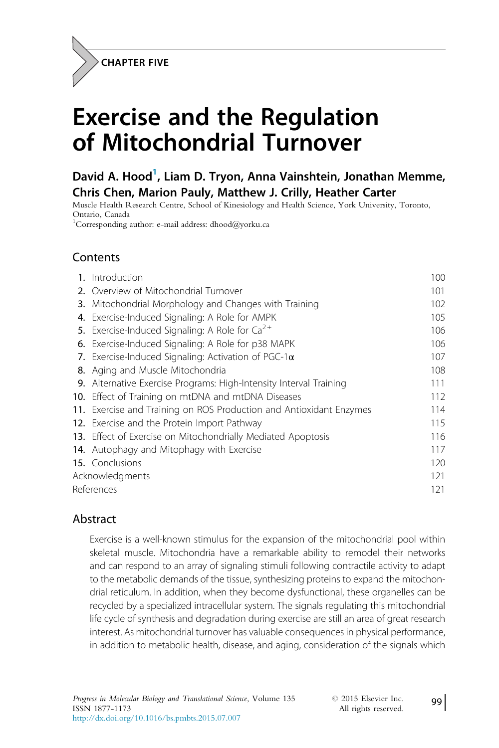# CHAPTER FIVE

## Exercise and the Regulation of Mitochondrial Turnover

David A. Hood<sup>1</sup>, Liam D. Tryon, Anna Vainshtein, Jonathan Memme, Chris Chen, Marion Pauly, Matthew J. Crilly, Heather Carter

Muscle Health Research Centre, School of Kinesiology and Health Science, York University, Toronto, Ontario, Canada

<sup>1</sup>Corresponding author: e-mail address: dhood@yorku.ca

#### **Contents**

|                 | 1. Introduction                                                     | 100 |
|-----------------|---------------------------------------------------------------------|-----|
|                 | 2. Overview of Mitochondrial Turnover                               | 101 |
|                 | 3. Mitochondrial Morphology and Changes with Training               | 102 |
|                 | 4. Exercise-Induced Signaling: A Role for AMPK                      | 105 |
|                 | 5. Exercise-Induced Signaling: A Role for $Ca^{2+}$                 | 106 |
|                 | 6. Exercise-Induced Signaling: A Role for p38 MAPK                  | 106 |
|                 | 7. Exercise-Induced Signaling: Activation of PGC-1 $\alpha$         | 107 |
|                 | 8. Aging and Muscle Mitochondria                                    | 108 |
|                 | 9. Alternative Exercise Programs: High-Intensity Interval Training  | 111 |
|                 | 10. Effect of Training on mtDNA and mtDNA Diseases                  | 112 |
|                 | 11. Exercise and Training on ROS Production and Antioxidant Enzymes | 114 |
|                 | 12. Exercise and the Protein Import Pathway                         | 115 |
|                 | 13. Effect of Exercise on Mitochondrially Mediated Apoptosis        | 116 |
|                 | 14. Autophagy and Mitophagy with Exercise                           | 117 |
|                 | 15. Conclusions                                                     | 120 |
| Acknowledgments |                                                                     | 121 |
| References      |                                                                     | 121 |

#### Abstract

Exercise is a well-known stimulus for the expansion of the mitochondrial pool within skeletal muscle. Mitochondria have a remarkable ability to remodel their networks and can respond to an array of signaling stimuli following contractile activity to adapt to the metabolic demands of the tissue, synthesizing proteins to expand the mitochondrial reticulum. In addition, when they become dysfunctional, these organelles can be recycled by a specialized intracellular system. The signals regulating this mitochondrial life cycle of synthesis and degradation during exercise are still an area of great research interest. As mitochondrial turnover has valuable consequences in physical performance, in addition to metabolic health, disease, and aging, consideration of the signals which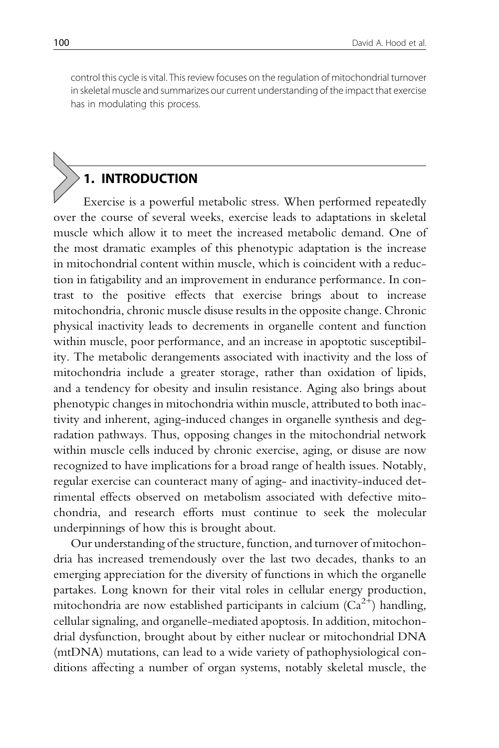control this cycle is vital. This review focuses on the regulation of mitochondrial turnover in skeletal muscle and summarizes our current understanding of the impact that exercise has in modulating this process.

#### **INTRODUCTION**

Exercise is a powerful metabolic stress. When performed repeatedly over the course of several weeks, exercise leads to adaptations in skeletal muscle which allow it to meet the increased metabolic demand. One of the most dramatic examples of this phenotypic adaptation is the increase in mitochondrial content within muscle, which is coincident with a reduction in fatigability and an improvement in endurance performance. In contrast to the positive effects that exercise brings about to increase mitochondria, chronic muscle disuse results in the opposite change. Chronic physical inactivity leads to decrements in organelle content and function within muscle, poor performance, and an increase in apoptotic susceptibility. The metabolic derangements associated with inactivity and the loss of mitochondria include a greater storage, rather than oxidation of lipids, and a tendency for obesity and insulin resistance. Aging also brings about phenotypic changes in mitochondria within muscle, attributed to both inactivity and inherent, aging-induced changes in organelle synthesis and degradation pathways. Thus, opposing changes in the mitochondrial network within muscle cells induced by chronic exercise, aging, or disuse are now recognized to have implications for a broad range of health issues. Notably, regular exercise can counteract many of aging- and inactivity-induced detrimental effects observed on metabolism associated with defective mitochondria, and research efforts must continue to seek the molecular underpinnings of how this is brought about.

Our understanding of the structure, function, and turnover of mitochondria has increased tremendously over the last two decades, thanks to an emerging appreciation for the diversity of functions in which the organelle partakes. Long known for their vital roles in cellular energy production, mitochondria are now established participants in calcium  $(Ca^{2+})$  handling, cellular signaling, and organelle-mediated apoptosis. In addition, mitochondrial dysfunction, brought about by either nuclear or mitochondrial DNA (mtDNA) mutations, can lead to a wide variety of pathophysiological conditions affecting a number of organ systems, notably skeletal muscle, the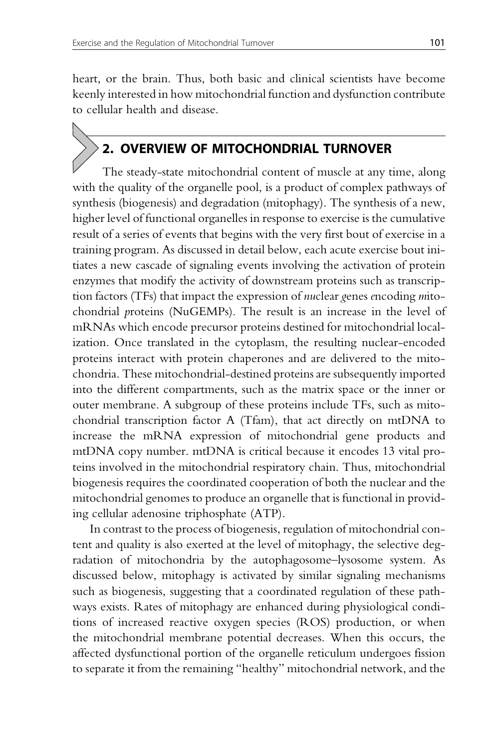heart, or the brain. Thus, both basic and clinical scientists have become keenly interested in how mitochondrial function and dysfunction contribute to cellular health and disease.

#### 2. OVERVIEW OF MITOCHONDRIAL TURNOVER

The steady-state mitochondrial content of muscle at any time, along with the quality of the organelle pool, is a product of complex pathways of synthesis (biogenesis) and degradation (mitophagy). The synthesis of a new, higher level of functional organelles in response to exercise is the cumulative result of a series of events that begins with the very first bout of exercise in a training program. As discussed in detail below, each acute exercise bout initiates a new cascade of signaling events involving the activation of protein enzymes that modify the activity of downstream proteins such as transcription factors (TFs) that impact the expression of nuclear genes encoding mitochondrial proteins (NuGEMPs). The result is an increase in the level of mRNAs which encode precursor proteins destined for mitochondrial localization. Once translated in the cytoplasm, the resulting nuclear-encoded proteins interact with protein chaperones and are delivered to the mitochondria. These mitochondrial-destined proteins are subsequently imported into the different compartments, such as the matrix space or the inner or outer membrane. A subgroup of these proteins include TFs, such as mitochondrial transcription factor A (Tfam), that act directly on mtDNA to increase the mRNA expression of mitochondrial gene products and mtDNA copy number. mtDNA is critical because it encodes 13 vital proteins involved in the mitochondrial respiratory chain. Thus, mitochondrial biogenesis requires the coordinated cooperation of both the nuclear and the mitochondrial genomes to produce an organelle that is functional in providing cellular adenosine triphosphate (ATP).

In contrast to the process of biogenesis, regulation of mitochondrial content and quality is also exerted at the level of mitophagy, the selective degradation of mitochondria by the autophagosome–lysosome system. As discussed below, mitophagy is activated by similar signaling mechanisms such as biogenesis, suggesting that a coordinated regulation of these pathways exists. Rates of mitophagy are enhanced during physiological conditions of increased reactive oxygen species (ROS) production, or when the mitochondrial membrane potential decreases. When this occurs, the affected dysfunctional portion of the organelle reticulum undergoes fission to separate it from the remaining "healthy" mitochondrial network, and the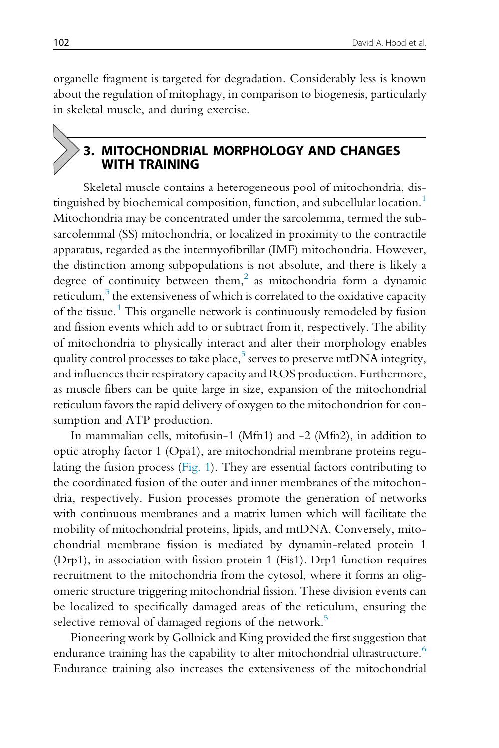organelle fragment is targeted for degradation. Considerably less is known about the regulation of mitophagy, in comparison to biogenesis, particularly in skeletal muscle, and during exercise.

#### 3. MITOCHONDRIAL MORPHOLOGY AND CHANGES WITH TRAINING

Skeletal muscle contains a heterogeneous pool of mitochondria, dis-tinguished by biochemical composition, function, and subcellular location.<sup>[1](#page-22-0)</sup> Mitochondria may be concentrated under the sarcolemma, termed the subsarcolemmal (SS) mitochondria, or localized in proximity to the contractile apparatus, regarded as the intermyofibrillar (IMF) mitochondria. However, the distinction among subpopulations is not absolute, and there is likely a degree of continuity between them, $^{2}$  $^{2}$  $^{2}$  as mitochondria form a dynamic reticulum, $3$  the extensiveness of which is correlated to the oxidative capacity of the tissue.[4](#page-22-0) This organelle network is continuously remodeled by fusion and fission events which add to or subtract from it, respectively. The ability of mitochondria to physically interact and alter their morphology enables quality control processes to take place,<sup>[5](#page-22-0)</sup> serves to preserve mtDNA integrity, and influences their respiratory capacity and ROS production. Furthermore, as muscle fibers can be quite large in size, expansion of the mitochondrial reticulum favors the rapid delivery of oxygen to the mitochondrion for consumption and ATP production.

In mammalian cells, mitofusin-1 (Mfn1) and -2 (Mfn2), in addition to optic atrophy factor 1 (Opa1), are mitochondrial membrane proteins regulating the fusion process [\(Fig. 1](#page-4-0)). They are essential factors contributing to the coordinated fusion of the outer and inner membranes of the mitochondria, respectively. Fusion processes promote the generation of networks with continuous membranes and a matrix lumen which will facilitate the mobility of mitochondrial proteins, lipids, and mtDNA. Conversely, mitochondrial membrane fission is mediated by dynamin-related protein 1 (Drp1), in association with fission protein 1 (Fis1). Drp1 function requires recruitment to the mitochondria from the cytosol, where it forms an oligomeric structure triggering mitochondrial fission. These division events can be localized to specifically damaged areas of the reticulum, ensuring the selective removal of damaged regions of the network.<sup>5</sup>

Pioneering work by Gollnick and King provided the first suggestion that endurance training has the capability to alter mitochondrial ultrastructure.<sup>[6](#page-22-0)</sup> Endurance training also increases the extensiveness of the mitochondrial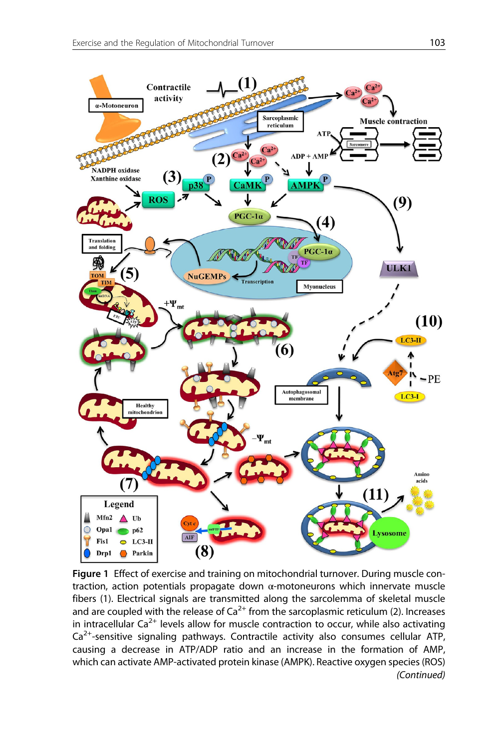<span id="page-4-0"></span>

Figure 1 Effect of exercise and training on mitochondrial turnover. During muscle contraction, action potentials propagate down  $\alpha$ -motoneurons which innervate muscle fibers (1). Electrical signals are transmitted along the sarcolemma of skeletal muscle and are coupled with the release of  $Ca^{2+}$  from the sarcoplasmic reticulum (2). Increases in intracellular  $Ca^{2+}$  levels allow for muscle contraction to occur, while also activating  $Ca<sup>2+</sup>$ -sensitive signaling pathways. Contractile activity also consumes cellular ATP, causing a decrease in ATP/ADP ratio and an increase in the formation of AMP, which can activate AMP-activated protein kinase (AMPK). Reactive oxygen species (ROS) (Continued)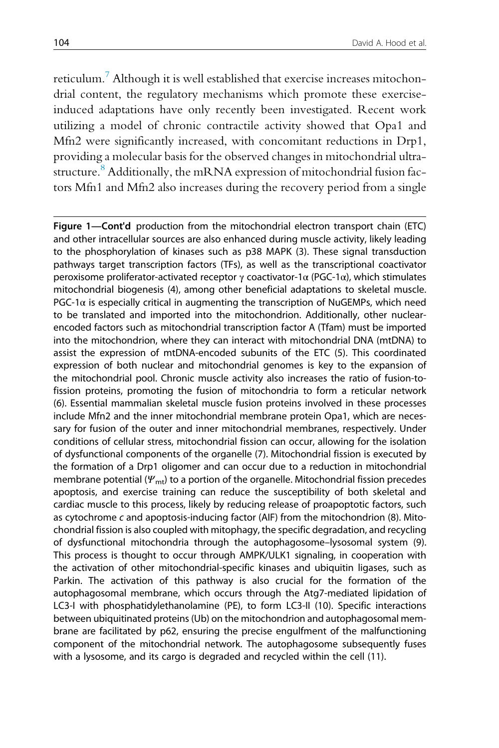reticulum[.7](#page-22-0) Although it is well established that exercise increases mitochondrial content, the regulatory mechanisms which promote these exerciseinduced adaptations have only recently been investigated. Recent work utilizing a model of chronic contractile activity showed that Opa1 and Mfn2 were significantly increased, with concomitant reductions in Drp1, providing a molecular basis for the observed changes in mitochondrial ultrastructure.<sup>8</sup> Additionally, the mRNA expression of mitochondrial fusion factors Mfn1 and Mfn2 also increases during the recovery period from a single

Figure 1—Cont'd production from the mitochondrial electron transport chain (ETC) and other intracellular sources are also enhanced during muscle activity, likely leading to the phosphorylation of kinases such as p38 MAPK (3). These signal transduction pathways target transcription factors (TFs), as well as the transcriptional coactivator peroxisome proliferator-activated receptor  $γ$  coactivator-1α (PGC-1α), which stimulates mitochondrial biogenesis (4), among other beneficial adaptations to skeletal muscle. PGC-1 $\alpha$  is especially critical in augmenting the transcription of NuGEMPs, which need to be translated and imported into the mitochondrion. Additionally, other nuclearencoded factors such as mitochondrial transcription factor A (Tfam) must be imported into the mitochondrion, where they can interact with mitochondrial DNA (mtDNA) to assist the expression of mtDNA-encoded subunits of the ETC (5). This coordinated expression of both nuclear and mitochondrial genomes is key to the expansion of the mitochondrial pool. Chronic muscle activity also increases the ratio of fusion-tofission proteins, promoting the fusion of mitochondria to form a reticular network (6). Essential mammalian skeletal muscle fusion proteins involved in these processes include Mfn2 and the inner mitochondrial membrane protein Opa1, which are necessary for fusion of the outer and inner mitochondrial membranes, respectively. Under conditions of cellular stress, mitochondrial fission can occur, allowing for the isolation of dysfunctional components of the organelle (7). Mitochondrial fission is executed by the formation of a Drp1 oligomer and can occur due to a reduction in mitochondrial membrane potential ( $\mathcal{Y}_{\text{mt}}$ ) to a portion of the organelle. Mitochondrial fission precedes apoptosis, and exercise training can reduce the susceptibility of both skeletal and cardiac muscle to this process, likely by reducing release of proapoptotic factors, such as cytochrome c and apoptosis-inducing factor (AIF) from the mitochondrion (8). Mitochondrial fission is also coupled with mitophagy, the specific degradation, and recycling of dysfunctional mitochondria through the autophagosome–lysosomal system (9). This process is thought to occur through AMPK/ULK1 signaling, in cooperation with the activation of other mitochondrial-specific kinases and ubiquitin ligases, such as Parkin. The activation of this pathway is also crucial for the formation of the autophagosomal membrane, which occurs through the Atg7-mediated lipidation of LC3-I with phosphatidylethanolamine (PE), to form LC3-II (10). Specific interactions between ubiquitinated proteins (Ub) on the mitochondrion and autophagosomal membrane are facilitated by p62, ensuring the precise engulfment of the malfunctioning component of the mitochondrial network. The autophagosome subsequently fuses with a lysosome, and its cargo is degraded and recycled within the cell (11).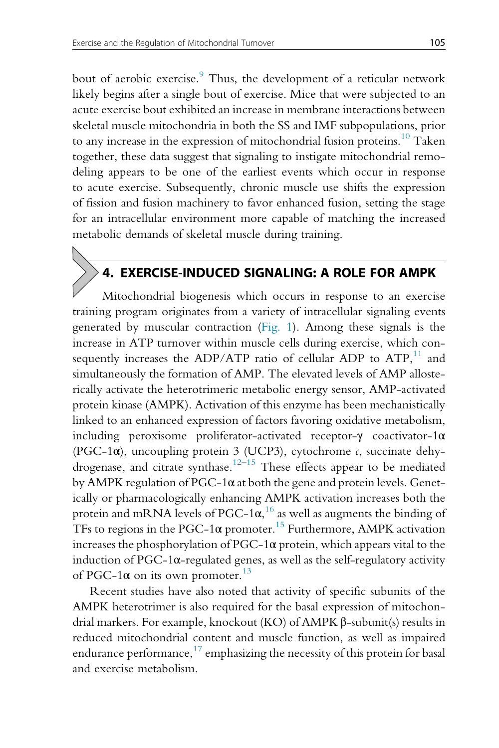bout of aerobic exercise.<sup>9</sup> Thus, the development of a reticular network likely begins after a single bout of exercise. Mice that were subjected to an acute exercise bout exhibited an increase in membrane interactions between skeletal muscle mitochondria in both the SS and IMF subpopulations, prior to any increase in the expression of mitochondrial fusion proteins.<sup>10</sup> Taken together, these data suggest that signaling to instigate mitochondrial remodeling appears to be one of the earliest events which occur in response to acute exercise. Subsequently, chronic muscle use shifts the expression of fission and fusion machinery to favor enhanced fusion, setting the stage for an intracellular environment more capable of matching the increased metabolic demands of skeletal muscle during training.

#### 4. EXERCISE-INDUCED SIGNALING: A ROLE FOR AMPK

Mitochondrial biogenesis which occurs in response to an exercise training program originates from a variety of intracellular signaling events generated by muscular contraction [\(Fig. 1](#page-4-0)). Among these signals is the increase in ATP turnover within muscle cells during exercise, which consequently increases the ADP/ATP ratio of cellular ADP to ATP, $^{11}$  $^{11}$  $^{11}$  and simultaneously the formation of AMP. The elevated levels of AMP allosterically activate the heterotrimeric metabolic energy sensor, AMP-activated protein kinase (AMPK). Activation of this enzyme has been mechanistically linked to an enhanced expression of factors favoring oxidative metabolism, including peroxisome proliferator-activated receptor-γ coactivator-1α (PGC-1α), uncoupling protein 3 (UCP3), cytochrome c, succinate dehydrogenase, and citrate synthase.<sup>12–15</sup> These effects appear to be mediated by AMPK regulation of PGC-1α at both the gene and protein levels. Genetically or pharmacologically enhancing AMPK activation increases both the protein and mRNA levels of PGC-1 $\alpha, ^{16}$  $\alpha, ^{16}$  $\alpha, ^{16}$  as well as augments the binding of TFs to regions in the PGC-1 $\alpha$  promoter.<sup>15</sup> Furthermore, AMPK activation increases the phosphorylation of  $PGC-1\alpha$  protein, which appears vital to the induction of  $PGC-1\alpha$ -regulated genes, as well as the self-regulatory activity of PGC-1 $\alpha$  on its own promoter.<sup>[13](#page-22-0)</sup>

Recent studies have also noted that activity of specific subunits of the AMPK heterotrimer is also required for the basal expression of mitochondrial markers. For example, knockout (KO) of AMPK β-subunit(s) results in reduced mitochondrial content and muscle function, as well as impaired endurance performance, $17$  emphasizing the necessity of this protein for basal and exercise metabolism.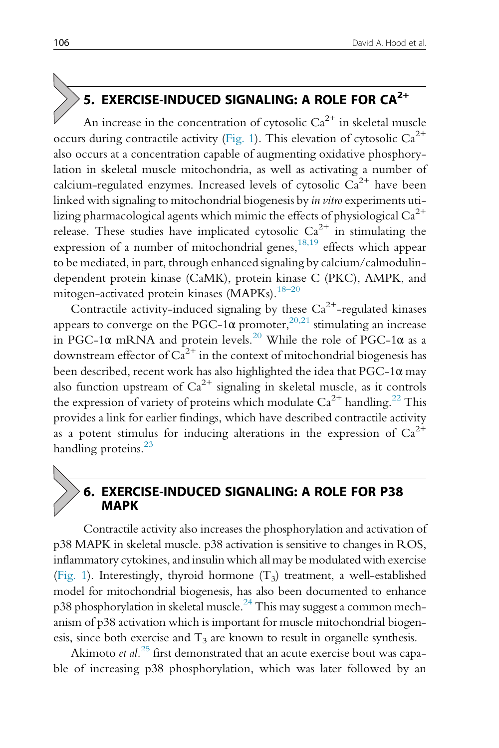### EXERCISE-INDUCED SIGNALING: A ROLE FOR CA<sup>2+</sup>

An increase in the concentration of cytosolic  $Ca^{2+}$  in skeletal muscle occurs during contractile activity [\(Fig. 1](#page-4-0)). This elevation of cytosolic  $Ca^{2+}$ also occurs at a concentration capable of augmenting oxidative phosphorylation in skeletal muscle mitochondria, as well as activating a number of calcium-regulated enzymes. Increased levels of cytosolic  $Ca^{2+}$  have been linked with signaling to mitochondrial biogenesis by in vitro experiments utilizing pharmacological agents which mimic the effects of physiological  $\mathrm{Ca}^{2+}$ release. These studies have implicated cytosolic  $Ca^{2+}$  in stimulating the expression of a number of mitochondrial genes,<sup>[18,19](#page-23-0)</sup> effects which appear to be mediated, in part, through enhanced signaling by calcium/calmodulindependent protein kinase (CaMK), protein kinase C (PKC), AMPK, and mitogen-activated protein kinases (MAPKs).<sup>18-20</sup>

Contractile activity-induced signaling by these  $Ca^{2+}$ -regulated kinases appears to converge on the PGC-1 $\alpha$  promoter,<sup>20,21</sup> stimulating an increase in PGC-1 $\alpha$  mRNA and protein levels.<sup>[20](#page-23-0)</sup> While the role of PGC-1 $\alpha$  as a downstream effector of  $Ca^{2+}$  in the context of mitochondrial biogenesis has been described, recent work has also highlighted the idea that  $PGC-1\alpha$  may also function upstream of  $Ca^{2+}$  signaling in skeletal muscle, as it controls the expression of variety of proteins which modulate  $Ca^{2+}$  handling.<sup>[22](#page-23-0)</sup> This provides a link for earlier findings, which have described contractile activity as a potent stimulus for inducing alterations in the expression of  $Ca^{2+}$ handling proteins. $^{23}$  $^{23}$  $^{23}$ 

#### 6. EXERCISE-INDUCED SIGNALING: A ROLE FOR P38 MAPK

Contractile activity also increases the phosphorylation and activation of p38 MAPK in skeletal muscle. p38 activation is sensitive to changes in ROS, inflammatory cytokines, and insulin which all may be modulated with exercise ([Fig. 1](#page-4-0)). Interestingly, thyroid hormone  $(T_3)$  treatment, a well-established model for mitochondrial biogenesis, has also been documented to enhance  $p38$  phosphorylation in skeletal muscle.<sup>[24](#page-23-0)</sup> This may suggest a common mechanism of p38 activation which is important for muscle mitochondrial biogenesis, since both exercise and  $T_3$  are known to result in organelle synthesis.

Akimoto et  $al.^{25}$  $al.^{25}$  $al.^{25}$  first demonstrated that an acute exercise bout was capable of increasing p38 phosphorylation, which was later followed by an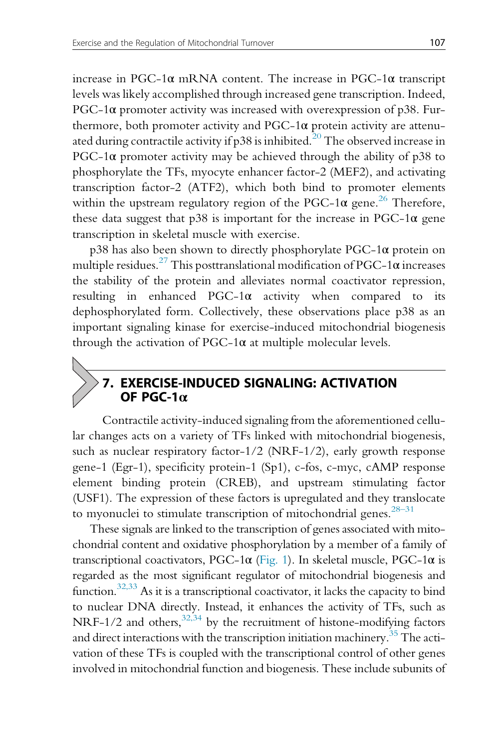increase in PGC-1α mRNA content. The increase in PGC-1α transcript levels was likely accomplished through increased gene transcription. Indeed,  $PGC-1\alpha$  promoter activity was increased with overexpression of p38. Furthermore, both promoter activity and  $PGC-1\alpha$  protein activity are attenuated during contractile activity if  $p38$  is inhibited.<sup>20</sup> The observed increase in  $PGC-1\alpha$  promoter activity may be achieved through the ability of p38 to phosphorylate the TFs, myocyte enhancer factor-2 (MEF2), and activating transcription factor-2 (ATF2), which both bind to promoter elements within the upstream regulatory region of the PGC-1 $\alpha$  gene.<sup>[26](#page-23-0)</sup> Therefore, these data suggest that p38 is important for the increase in  $PGC-1\alpha$  gene transcription in skeletal muscle with exercise.

p38 has also been shown to directly phosphorylate PGC-1α protein on multiple residues.<sup>27</sup> This posttranslational modification of PGC-1 $\alpha$  increases the stability of the protein and alleviates normal coactivator repression, resulting in enhanced  $PGC-1\alpha$  activity when compared to its dephosphorylated form. Collectively, these observations place p38 as an important signaling kinase for exercise-induced mitochondrial biogenesis through the activation of  $PGC-1\alpha$  at multiple molecular levels.



#### 7. EXERCISE-INDUCED SIGNALING: ACTIVATION OF PGC-1α

Contractile activity-induced signaling from the aforementioned cellular changes acts on a variety of TFs linked with mitochondrial biogenesis, such as nuclear respiratory factor-1/2 (NRF-1/2), early growth response gene-1 (Egr-1), specificity protein-1 (Sp1), c-fos, c-myc, cAMP response element binding protein (CREB), and upstream stimulating factor (USF1). The expression of these factors is upregulated and they translocate to myonuclei to stimulate transcription of mitochondrial genes. $^{28-31}$ 

These signals are linked to the transcription of genes associated with mitochondrial content and oxidative phosphorylation by a member of a family of transcriptional coactivators, PGC-1α ([Fig. 1](#page-4-0)). In skeletal muscle, PGC-1α is regarded as the most significant regulator of mitochondrial biogenesis and function[.32,33](#page-23-0) As it is a transcriptional coactivator, it lacks the capacity to bind to nuclear DNA directly. Instead, it enhances the activity of TFs, such as NRF-1/2 and others,  $32,34$  by the recruitment of histone-modifying factors and direct interactions with the transcription initiation machinery.<sup>35</sup> The activation of these TFs is coupled with the transcriptional control of other genes involved in mitochondrial function and biogenesis. These include subunits of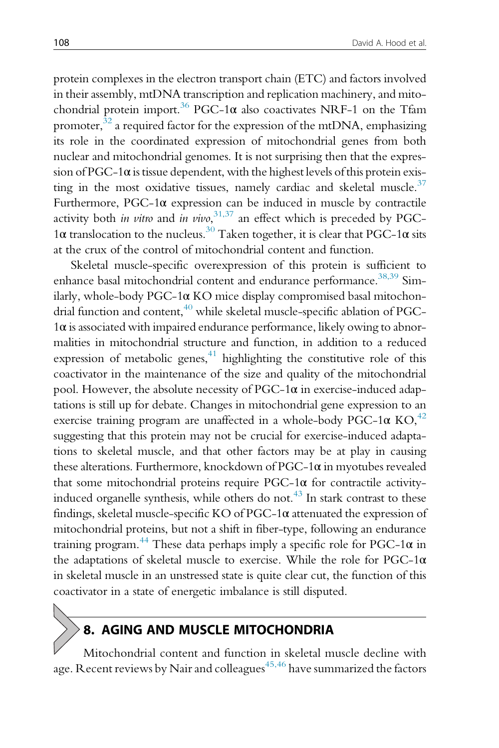protein complexes in the electron transport chain (ETC) and factors involved in their assembly, mtDNA transcription and replication machinery, and mitochondrial protein import.<sup>36</sup> PGC-1 $\alpha$  also coactivates NRF-1 on the Tfam promoter, $32$  a required factor for the expression of the mtDNA, emphasizing its role in the coordinated expression of mitochondrial genes from both nuclear and mitochondrial genomes. It is not surprising then that the expression of PGC-1 $\alpha$  is tissue dependent, with the highest levels of this protein existing in the most oxidative tissues, namely cardiac and skeletal muscle. $37$ Furthermore, PGC-1α expression can be induced in muscle by contractile activity both in vitro and in vivo,  $31,37$  an effect which is preceded by PGC-1α translocation to the nucleus[.30](#page-23-0) Taken together, it is clear that PGC-1α sits at the crux of the control of mitochondrial content and function.

Skeletal muscle-specific overexpression of this protein is sufficient to enhance basal mitochondrial content and endurance performance.<sup>38,39</sup> Similarly, whole-body PGC-1 $\alpha$  KO mice display compromised basal mitochondrial function and content, $40$  while skeletal muscle-specific ablation of PGC- $1\alpha$  is associated with impaired endurance performance, likely owing to abnormalities in mitochondrial structure and function, in addition to a reduced expression of metabolic genes, $41$  highlighting the constitutive role of this coactivator in the maintenance of the size and quality of the mitochondrial pool. However, the absolute necessity of  $PGC-1\alpha$  in exercise-induced adaptations is still up for debate. Changes in mitochondrial gene expression to an exercise training program are unaffected in a whole-body PGC-1 $\alpha$  KO,<sup>42</sup> suggesting that this protein may not be crucial for exercise-induced adaptations to skeletal muscle, and that other factors may be at play in causing these alterations. Furthermore, knockdown of  $PGC-1\alpha$  in myotubes revealed that some mitochondrial proteins require PGC-1α for contractile activity-induced organelle synthesis, while others do not.<sup>[43](#page-24-0)</sup> In stark contrast to these findings, skeletal muscle-specific KO of PGC-1α attenuated the expression of mitochondrial proteins, but not a shift in fiber-type, following an endurance training program.<sup>[44](#page-24-0)</sup> These data perhaps imply a specific role for PGC-1 $\alpha$  in the adaptations of skeletal muscle to exercise. While the role for PGC-1 $\alpha$ in skeletal muscle in an unstressed state is quite clear cut, the function of this coactivator in a state of energetic imbalance is still disputed.

#### 8. AGING AND MUSCLE MITOCHONDRIA

Mitochondrial content and function in skeletal muscle decline with age. Recent reviews by Nair and colleagues $45,46$  have summarized the factors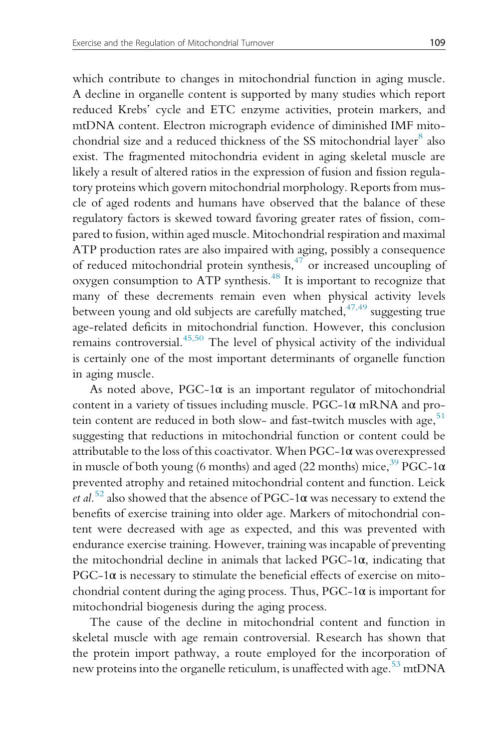which contribute to changes in mitochondrial function in aging muscle. A decline in organelle content is supported by many studies which report reduced Krebs' cycle and ETC enzyme activities, protein markers, and mtDNA content. Electron micrograph evidence of diminished IMF mito-chondrial size and a reduced thickness of the SS mitochondrial layer<sup>[8](#page-22-0)</sup> also exist. The fragmented mitochondria evident in aging skeletal muscle are likely a result of altered ratios in the expression of fusion and fission regulatory proteins which govern mitochondrial morphology. Reports from muscle of aged rodents and humans have observed that the balance of these regulatory factors is skewed toward favoring greater rates of fission, compared to fusion, within aged muscle. Mitochondrial respiration and maximal ATP production rates are also impaired with aging, possibly a consequence of reduced mitochondrial protein synthesis, $47$  or increased uncoupling of oxygen consumption to ATP synthesis.<sup>[48](#page-24-0)</sup> It is important to recognize that many of these decrements remain even when physical activity levels between young and old subjects are carefully matched, $47,49$  suggesting true age-related deficits in mitochondrial function. However, this conclusion remains controversial.<sup>45,50</sup> The level of physical activity of the individual is certainly one of the most important determinants of organelle function in aging muscle.

As noted above,  $PGC-1\alpha$  is an important regulator of mitochondrial content in a variety of tissues including muscle. PGC-1α mRNA and protein content are reduced in both slow- and fast-twitch muscles with age,  $51$ suggesting that reductions in mitochondrial function or content could be attributable to the loss of this coactivator. When  $PGC-1\alpha$  was overexpressed in muscle of both young (6 months) and aged (22 months) mice,  $39$  PGC-1 $\alpha$ prevented atrophy and retained mitochondrial content and function. Leick et al.<sup>[52](#page-24-0)</sup> also showed that the absence of PGC-1 $\alpha$  was necessary to extend the benefits of exercise training into older age. Markers of mitochondrial content were decreased with age as expected, and this was prevented with endurance exercise training. However, training was incapable of preventing the mitochondrial decline in animals that lacked  $PGC-1\alpha$ , indicating that  $PGC-1\alpha$  is necessary to stimulate the beneficial effects of exercise on mitochondrial content during the aging process. Thus,  $PGC-1\alpha$  is important for mitochondrial biogenesis during the aging process.

The cause of the decline in mitochondrial content and function in skeletal muscle with age remain controversial. Research has shown that the protein import pathway, a route employed for the incorporation of new proteins into the organelle reticulum, is unaffected with age.<sup>[53](#page-24-0)</sup> mtDNA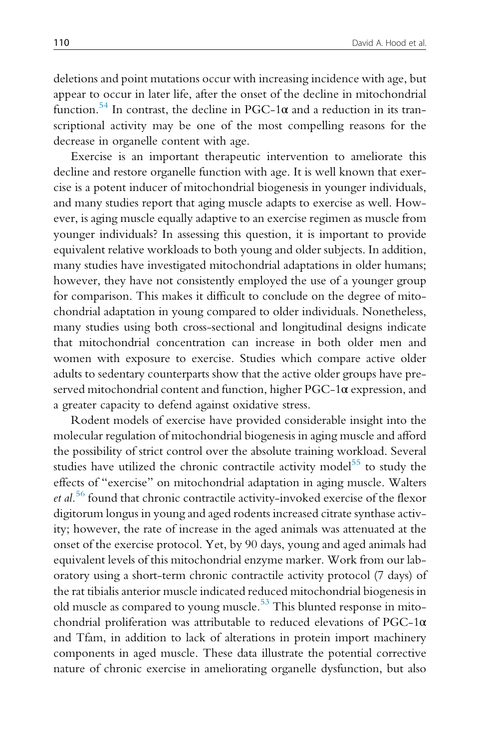deletions and point mutations occur with increasing incidence with age, but appear to occur in later life, after the onset of the decline in mitochondrial function.<sup>[54](#page-25-0)</sup> In contrast, the decline in PGC-1 $\alpha$  and a reduction in its transcriptional activity may be one of the most compelling reasons for the decrease in organelle content with age.

Exercise is an important therapeutic intervention to ameliorate this decline and restore organelle function with age. It is well known that exercise is a potent inducer of mitochondrial biogenesis in younger individuals, and many studies report that aging muscle adapts to exercise as well. However, is aging muscle equally adaptive to an exercise regimen as muscle from younger individuals? In assessing this question, it is important to provide equivalent relative workloads to both young and older subjects. In addition, many studies have investigated mitochondrial adaptations in older humans; however, they have not consistently employed the use of a younger group for comparison. This makes it difficult to conclude on the degree of mitochondrial adaptation in young compared to older individuals. Nonetheless, many studies using both cross-sectional and longitudinal designs indicate that mitochondrial concentration can increase in both older men and women with exposure to exercise. Studies which compare active older adults to sedentary counterparts show that the active older groups have preserved mitochondrial content and function, higher PGC-1α expression, and a greater capacity to defend against oxidative stress.

Rodent models of exercise have provided considerable insight into the molecular regulation of mitochondrial biogenesis in aging muscle and afford the possibility of strict control over the absolute training workload. Several studies have utilized the chronic contractile activity model<sup>[55](#page-25-0)</sup> to study the effects of "exercise" on mitochondrial adaptation in aging muscle. Walters et al.<sup>[56](#page-25-0)</sup> found that chronic contractile activity-invoked exercise of the flexor digitorum longus in young and aged rodents increased citrate synthase activity; however, the rate of increase in the aged animals was attenuated at the onset of the exercise protocol. Yet, by 90 days, young and aged animals had equivalent levels of this mitochondrial enzyme marker. Work from our laboratory using a short-term chronic contractile activity protocol (7 days) of the rat tibialis anterior muscle indicated reduced mitochondrial biogenesis in old muscle as compared to young muscle.<sup>53</sup> This blunted response in mitochondrial proliferation was attributable to reduced elevations of PGC-1α and Tfam, in addition to lack of alterations in protein import machinery components in aged muscle. These data illustrate the potential corrective nature of chronic exercise in ameliorating organelle dysfunction, but also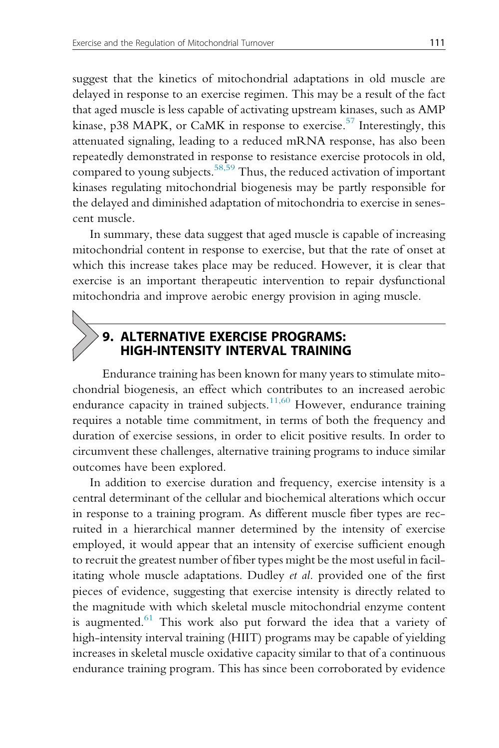suggest that the kinetics of mitochondrial adaptations in old muscle are delayed in response to an exercise regimen. This may be a result of the fact that aged muscle is less capable of activating upstream kinases, such as AMP kinase, p38 MAPK, or CaMK in response to exercise.<sup>57</sup> Interestingly, this attenuated signaling, leading to a reduced mRNA response, has also been repeatedly demonstrated in response to resistance exercise protocols in old, compared to young subjects.<sup>58,59</sup> Thus, the reduced activation of important kinases regulating mitochondrial biogenesis may be partly responsible for the delayed and diminished adaptation of mitochondria to exercise in senescent muscle.

In summary, these data suggest that aged muscle is capable of increasing mitochondrial content in response to exercise, but that the rate of onset at which this increase takes place may be reduced. However, it is clear that exercise is an important therapeutic intervention to repair dysfunctional mitochondria and improve aerobic energy provision in aging muscle.

#### 9. ALTERNATIVE EXERCISE PROGRAMS: HIGH-INTENSITY INTERVAL TRAINING

Endurance training has been known for many years to stimulate mitochondrial biogenesis, an effect which contributes to an increased aerobic endurance capacity in trained subjects.<sup>11,60</sup> However, endurance training requires a notable time commitment, in terms of both the frequency and duration of exercise sessions, in order to elicit positive results. In order to circumvent these challenges, alternative training programs to induce similar outcomes have been explored.

In addition to exercise duration and frequency, exercise intensity is a central determinant of the cellular and biochemical alterations which occur in response to a training program. As different muscle fiber types are recruited in a hierarchical manner determined by the intensity of exercise employed, it would appear that an intensity of exercise sufficient enough to recruit the greatest number of fiber types might be the most useful in facilitating whole muscle adaptations. Dudley et al. provided one of the first pieces of evidence, suggesting that exercise intensity is directly related to the magnitude with which skeletal muscle mitochondrial enzyme content is augmented. $61$  This work also put forward the idea that a variety of high-intensity interval training (HIIT) programs may be capable of yielding increases in skeletal muscle oxidative capacity similar to that of a continuous endurance training program. This has since been corroborated by evidence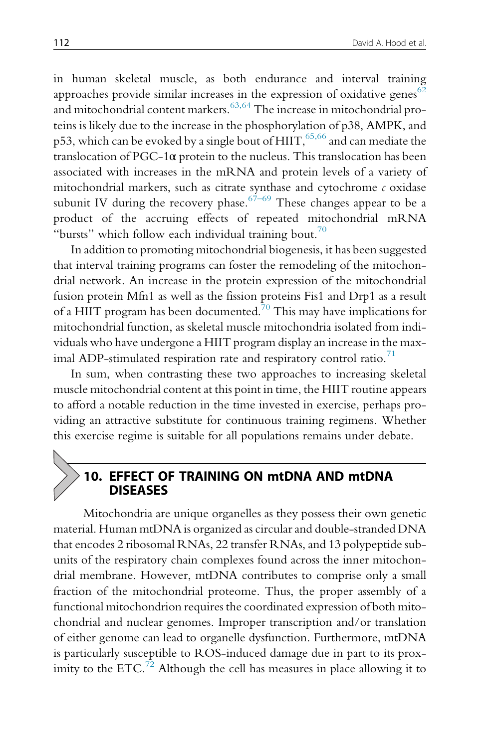in human skeletal muscle, as both endurance and interval training approaches provide similar increases in the expression of oxidative genes<sup>62</sup> and mitochondrial content markers.<sup>[63,64](#page-25-0)</sup> The increase in mitochondrial proteins is likely due to the increase in the phosphorylation of p38, AMPK, and p53, which can be evoked by a single bout of  $HIT$ ,  $65,66$  and can mediate the translocation of PGC-1α protein to the nucleus. This translocation has been associated with increases in the mRNA and protein levels of a variety of mitochondrial markers, such as citrate synthase and cytochrome  $\epsilon$  oxidase subunit IV during the recovery phase.<sup>[67–69](#page-25-0)</sup> These changes appear to be a product of the accruing effects of repeated mitochondrial mRNA "bursts" which follow each individual training bout. $70$ 

In addition to promoting mitochondrial biogenesis, it has been suggested that interval training programs can foster the remodeling of the mitochondrial network. An increase in the protein expression of the mitochondrial fusion protein Mfn1 as well as the fission proteins Fis1 and Drp1 as a result of a HIIT program has been documented.<sup>70</sup> This may have implications for mitochondrial function, as skeletal muscle mitochondria isolated from individuals who have undergone a HIIT program display an increase in the max-imal ADP-stimulated respiration rate and respiratory control ratio.<sup>[71](#page-25-0)</sup>

In sum, when contrasting these two approaches to increasing skeletal muscle mitochondrial content at this point in time, the HIIT routine appears to afford a notable reduction in the time invested in exercise, perhaps providing an attractive substitute for continuous training regimens. Whether this exercise regime is suitable for all populations remains under debate.

#### 10. EFFECT OF TRAINING ON mtDNA AND mtDNA DISEASES

Mitochondria are unique organelles as they possess their own genetic material. Human mtDNA is organized as circular and double-stranded DNA that encodes 2 ribosomal RNAs, 22 transfer RNAs, and 13 polypeptide subunits of the respiratory chain complexes found across the inner mitochondrial membrane. However, mtDNA contributes to comprise only a small fraction of the mitochondrial proteome. Thus, the proper assembly of a functional mitochondrion requires the coordinated expression of both mitochondrial and nuclear genomes. Improper transcription and/or translation of either genome can lead to organelle dysfunction. Furthermore, mtDNA is particularly susceptible to ROS-induced damage due in part to its prox-imity to the ETC.<sup>[72](#page-26-0)</sup> Although the cell has measures in place allowing it to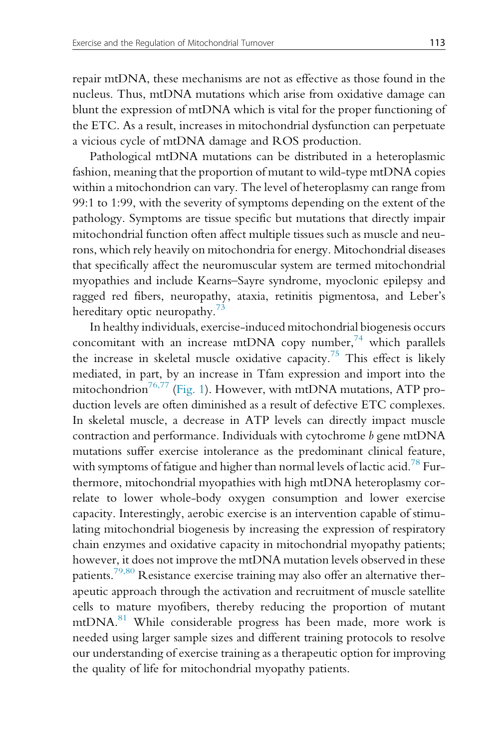repair mtDNA, these mechanisms are not as effective as those found in the nucleus. Thus, mtDNA mutations which arise from oxidative damage can blunt the expression of mtDNA which is vital for the proper functioning of the ETC. As a result, increases in mitochondrial dysfunction can perpetuate a vicious cycle of mtDNA damage and ROS production.

Pathological mtDNA mutations can be distributed in a heteroplasmic fashion, meaning that the proportion of mutant to wild-type mtDNA copies within a mitochondrion can vary. The level of heteroplasmy can range from 99:1 to 1:99, with the severity of symptoms depending on the extent of the pathology. Symptoms are tissue specific but mutations that directly impair mitochondrial function often affect multiple tissues such as muscle and neurons, which rely heavily on mitochondria for energy. Mitochondrial diseases that specifically affect the neuromuscular system are termed mitochondrial myopathies and include Kearns–Sayre syndrome, myoclonic epilepsy and ragged red fibers, neuropathy, ataxia, retinitis pigmentosa, and Leber's hereditary optic neuropathy.<sup>[73](#page-26-0)</sup>

In healthy individuals, exercise-induced mitochondrial biogenesis occurs concomitant with an increase mtDNA copy number,  $74$  which parallels the increase in skeletal muscle oxidative capacity.<sup>75</sup> This effect is likely mediated, in part, by an increase in Tfam expression and import into the mitochondrion<sup>76,77</sup> ([Fig. 1](#page-4-0)). However, with mtDNA mutations, ATP production levels are often diminished as a result of defective ETC complexes. In skeletal muscle, a decrease in ATP levels can directly impact muscle contraction and performance. Individuals with cytochrome b gene mtDNA mutations suffer exercise intolerance as the predominant clinical feature, with symptoms of fatigue and higher than normal levels of lactic acid.<sup>[78](#page-26-0)</sup> Furthermore, mitochondrial myopathies with high mtDNA heteroplasmy correlate to lower whole-body oxygen consumption and lower exercise capacity. Interestingly, aerobic exercise is an intervention capable of stimulating mitochondrial biogenesis by increasing the expression of respiratory chain enzymes and oxidative capacity in mitochondrial myopathy patients; however, it does not improve the mtDNA mutation levels observed in these patients.<sup>[79,80](#page-26-0)</sup> Resistance exercise training may also offer an alternative therapeutic approach through the activation and recruitment of muscle satellite cells to mature myofibers, thereby reducing the proportion of mutant mtDNA.<sup>81</sup> While considerable progress has been made, more work is needed using larger sample sizes and different training protocols to resolve our understanding of exercise training as a therapeutic option for improving the quality of life for mitochondrial myopathy patients.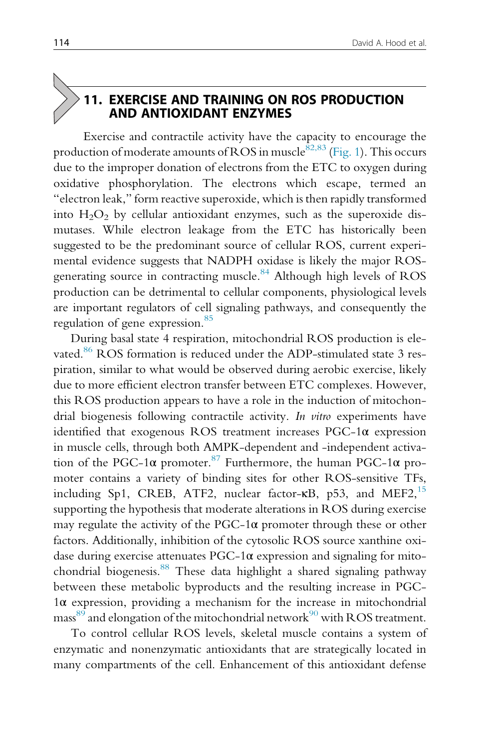#### 11. EXERCISE AND TRAINING ON ROS PRODUCTION AND ANTIOXIDANT ENZYMES

Exercise and contractile activity have the capacity to encourage the production of moderate amounts of ROS in muscle<sup>82,83</sup> ([Fig. 1\)](#page-4-0). This occurs due to the improper donation of electrons from the ETC to oxygen during oxidative phosphorylation. The electrons which escape, termed an "electron leak," form reactive superoxide, which is then rapidly transformed into  $H_2O_2$  by cellular antioxidant enzymes, such as the superoxide dismutases. While electron leakage from the ETC has historically been suggested to be the predominant source of cellular ROS, current experimental evidence suggests that NADPH oxidase is likely the major ROS-generating source in contracting muscle.<sup>[84](#page-26-0)</sup> Although high levels of ROS production can be detrimental to cellular components, physiological levels are important regulators of cell signaling pathways, and consequently the regulation of gene expression.<sup>[85](#page-26-0)</sup>

During basal state 4 respiration, mitochondrial ROS production is ele-vated.<sup>[86](#page-26-0)</sup> ROS formation is reduced under the ADP-stimulated state 3 respiration, similar to what would be observed during aerobic exercise, likely due to more efficient electron transfer between ETC complexes. However, this ROS production appears to have a role in the induction of mitochondrial biogenesis following contractile activity. In vitro experiments have identified that exogenous ROS treatment increases PGC-1α expression in muscle cells, through both AMPK-dependent and -independent activation of the PGC-1 $\alpha$  promoter.<sup>[87](#page-26-0)</sup> Furthermore, the human PGC-1 $\alpha$  promoter contains a variety of binding sites for other ROS-sensitive TFs, including Sp1, CREB, ATF2, nuclear factor-κB, p53, and MEF2,<sup>15</sup> supporting the hypothesis that moderate alterations in ROS during exercise may regulate the activity of the  $PGC-1\alpha$  promoter through these or other factors. Additionally, inhibition of the cytosolic ROS source xanthine oxidase during exercise attenuates  $PGC-1\alpha$  expression and signaling for mito-chondrial biogenesis.<sup>[88](#page-26-0)</sup> These data highlight a shared signaling pathway between these metabolic byproducts and the resulting increase in PGC-1α expression, providing a mechanism for the increase in mitochondrial mass $^{89}$  $^{89}$  $^{89}$  and elongation of the mitochondrial network $^{90}$  $^{90}$  $^{90}$  with ROS treatment.

To control cellular ROS levels, skeletal muscle contains a system of enzymatic and nonenzymatic antioxidants that are strategically located in many compartments of the cell. Enhancement of this antioxidant defense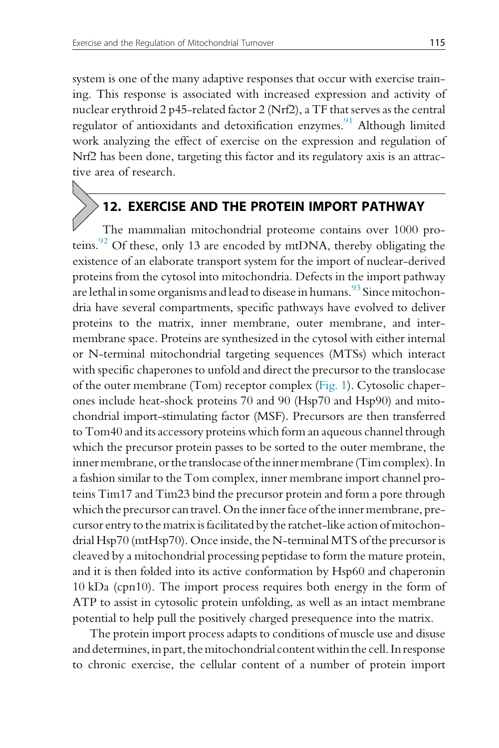system is one of the many adaptive responses that occur with exercise training. This response is associated with increased expression and activity of nuclear erythroid 2 p45-related factor 2 (Nrf2), a TF that serves as the central regulator of antioxidants and detoxification enzymes.<sup>[91](#page-27-0)</sup> Although limited work analyzing the effect of exercise on the expression and regulation of Nrf2 has been done, targeting this factor and its regulatory axis is an attractive area of research.

#### 12. EXERCISE AND THE PROTEIN IMPORT PATHWAY

The mammalian mitochondrial proteome contains over 1000 proteins.<sup>92</sup> Of these, only 13 are encoded by mtDNA, thereby obligating the existence of an elaborate transport system for the import of nuclear-derived proteins from the cytosol into mitochondria. Defects in the import pathway are lethal in some organisms and lead to disease in humans.  $93$  Since mitochondria have several compartments, specific pathways have evolved to deliver proteins to the matrix, inner membrane, outer membrane, and intermembrane space. Proteins are synthesized in the cytosol with either internal or N-terminal mitochondrial targeting sequences (MTSs) which interact with specific chaperones to unfold and direct the precursor to the translocase of the outer membrane (Tom) receptor complex [\(Fig. 1](#page-4-0)). Cytosolic chaperones include heat-shock proteins 70 and 90 (Hsp70 and Hsp90) and mitochondrial import-stimulating factor (MSF). Precursors are then transferred to Tom40 and its accessory proteins which form an aqueous channel through which the precursor protein passes to be sorted to the outer membrane, the inner membrane, or the translocase of the inner membrane (Tim complex). In a fashion similar to the Tom complex, inner membrane import channel proteins Tim17 and Tim23 bind the precursor protein and form a pore through which the precursor can travel. On the inner face of the inner membrane, precursor entry to the matrix is facilitated by the ratchet-like action of mitochondrial Hsp70 (mtHsp70). Once inside, the N-terminal MTS of the precursor is cleaved by a mitochondrial processing peptidase to form the mature protein, and it is then folded into its active conformation by Hsp60 and chaperonin 10 kDa (cpn10). The import process requires both energy in the form of ATP to assist in cytosolic protein unfolding, as well as an intact membrane potential to help pull the positively charged presequence into the matrix.

The protein import process adapts to conditions of muscle use and disuse and determines, in part, the mitochondrial content within the cell. In response to chronic exercise, the cellular content of a number of protein import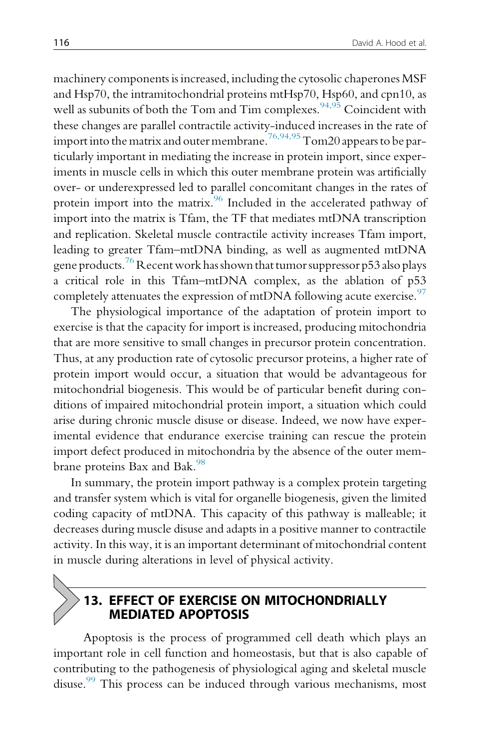machinery components is increased, including the cytosolic chaperones MSF and Hsp70, the intramitochondrial proteins mtHsp70, Hsp60, and cpn10, as well as subunits of both the Tom and Tim complexes.<sup>[94,95](#page-27-0)</sup> Coincident with these changes are parallel contractile activity-induced increases in the rate of import into the matrix and outer membrane.<sup>[76,94,95](#page-26-0)</sup>  $Tom20$  appears to be particularly important in mediating the increase in protein import, since experiments in muscle cells in which this outer membrane protein was artificially over- or underexpressed led to parallel concomitant changes in the rates of protein import into the matrix.<sup>[96](#page-27-0)</sup> Included in the accelerated pathway of import into the matrix is Tfam, the TF that mediates mtDNA transcription and replication. Skeletal muscle contractile activity increases Tfam import, leading to greater Tfam–mtDNA binding, as well as augmented mtDNA gene products.<sup>76</sup>Recent work has shown that tumor suppressor p53 also plays a critical role in this Tfam–mtDNA complex, as the ablation of p53 completely attenuates the expression of mtDNA following acute exercise.<sup>[97](#page-27-0)</sup>

The physiological importance of the adaptation of protein import to exercise is that the capacity for import is increased, producing mitochondria that are more sensitive to small changes in precursor protein concentration. Thus, at any production rate of cytosolic precursor proteins, a higher rate of protein import would occur, a situation that would be advantageous for mitochondrial biogenesis. This would be of particular benefit during conditions of impaired mitochondrial protein import, a situation which could arise during chronic muscle disuse or disease. Indeed, we now have experimental evidence that endurance exercise training can rescue the protein import defect produced in mitochondria by the absence of the outer mem-brane proteins Bax and Bak.<sup>[98](#page-27-0)</sup>

In summary, the protein import pathway is a complex protein targeting and transfer system which is vital for organelle biogenesis, given the limited coding capacity of mtDNA. This capacity of this pathway is malleable; it decreases during muscle disuse and adapts in a positive manner to contractile activity. In this way, it is an important determinant of mitochondrial content in muscle during alterations in level of physical activity.

#### 13. EFFECT OF EXERCISE ON MITOCHONDRIALLY MEDIATED APOPTOSIS

Apoptosis is the process of programmed cell death which plays an important role in cell function and homeostasis, but that is also capable of contributing to the pathogenesis of physiological aging and skeletal muscle disuse.<sup>[99](#page-27-0)</sup> This process can be induced through various mechanisms, most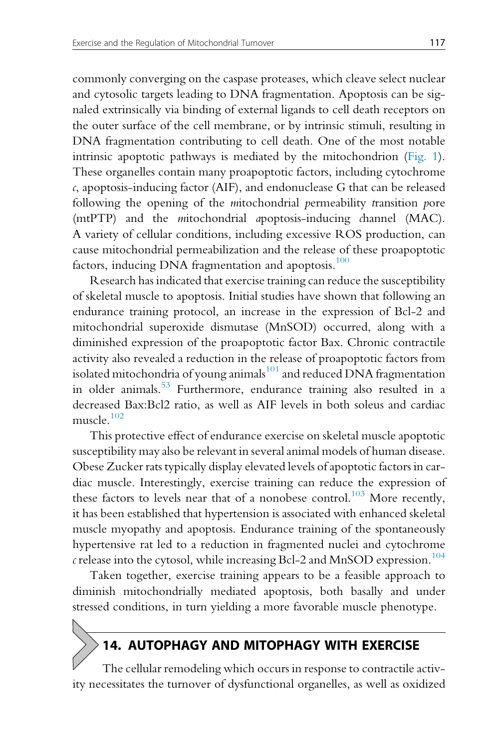commonly converging on the caspase proteases, which cleave select nuclear and cytosolic targets leading to DNA fragmentation. Apoptosis can be signaled extrinsically via binding of external ligands to cell death receptors on the outer surface of the cell membrane, or by intrinsic stimuli, resulting in DNA fragmentation contributing to cell death. One of the most notable intrinsic apoptotic pathways is mediated by the mitochondrion ([Fig. 1](#page-4-0)). These organelles contain many proapoptotic factors, including cytochrome c, apoptosis-inducing factor (AIF), and endonuclease G that can be released following the opening of the mitochondrial permeability transition pore (mtPTP) and the mitochondrial apoptosis-inducing channel (MAC). A variety of cellular conditions, including excessive ROS production, can cause mitochondrial permeabilization and the release of these proapoptotic factors, inducing DNA fragmentation and apoptosis.<sup>100</sup>

Research has indicated that exercise training can reduce the susceptibility of skeletal muscle to apoptosis. Initial studies have shown that following an endurance training protocol, an increase in the expression of Bcl-2 and mitochondrial superoxide dismutase (MnSOD) occurred, along with a diminished expression of the proapoptotic factor Bax. Chronic contractile activity also revealed a reduction in the release of proapoptotic factors from isolated mitochondria of young animals $101$  and reduced DNA fragmentation in older animals.<sup>[53](#page-24-0)</sup> Furthermore, endurance training also resulted in a decreased Bax:Bcl2 ratio, as well as AIF levels in both soleus and cardiac muscle[.102](#page-27-0)

This protective effect of endurance exercise on skeletal muscle apoptotic susceptibility may also be relevant in several animal models of human disease. Obese Zucker rats typically display elevated levels of apoptotic factors in cardiac muscle. Interestingly, exercise training can reduce the expression of these factors to levels near that of a nonobese control.<sup>[103](#page-27-0)</sup> More recently, it has been established that hypertension is associated with enhanced skeletal muscle myopathy and apoptosis. Endurance training of the spontaneously hypertensive rat led to a reduction in fragmented nuclei and cytochrome  $c$  release into the cytosol, while increasing Bcl-2 and MnSOD expression.<sup>[104](#page-27-0)</sup>

Taken together, exercise training appears to be a feasible approach to diminish mitochondrially mediated apoptosis, both basally and under stressed conditions, in turn yielding a more favorable muscle phenotype.

#### 14. AUTOPHAGY AND MITOPHAGY WITH EXERCISE

The cellular remodeling which occurs in response to contractile activity necessitates the turnover of dysfunctional organelles, as well as oxidized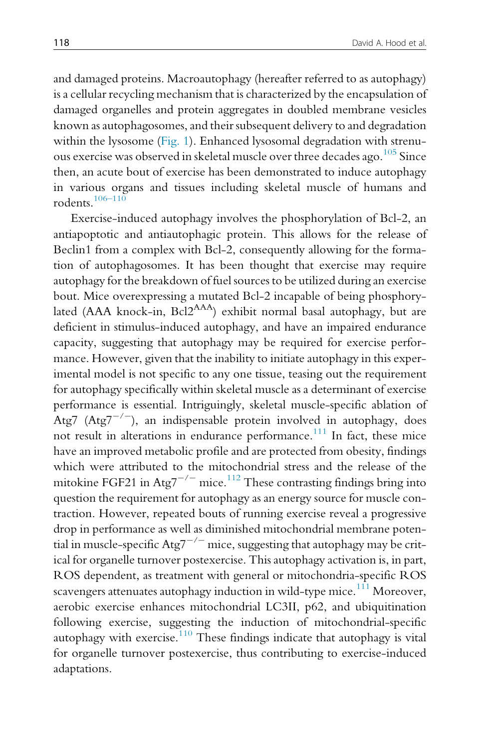and damaged proteins. Macroautophagy (hereafter referred to as autophagy) is a cellular recycling mechanism that is characterized by the encapsulation of damaged organelles and protein aggregates in doubled membrane vesicles known as autophagosomes, and their subsequent delivery to and degradation within the lysosome [\(Fig. 1\)](#page-4-0). Enhanced lysosomal degradation with strenu-ous exercise was observed in skeletal muscle over three decades ago.<sup>[105](#page-27-0)</sup> Since then, an acute bout of exercise has been demonstrated to induce autophagy in various organs and tissues including skeletal muscle of humans and rodents.[106–110](#page-27-0)

Exercise-induced autophagy involves the phosphorylation of Bcl-2, an antiapoptotic and antiautophagic protein. This allows for the release of Beclin1 from a complex with Bcl-2, consequently allowing for the formation of autophagosomes. It has been thought that exercise may require autophagy for the breakdown of fuel sources to be utilized during an exercise bout. Mice overexpressing a mutated Bcl-2 incapable of being phosphorylated (AAA knock-in,  $Bcl2<sup>AAA</sup>$ ) exhibit normal basal autophagy, but are deficient in stimulus-induced autophagy, and have an impaired endurance capacity, suggesting that autophagy may be required for exercise performance. However, given that the inability to initiate autophagy in this experimental model is not specific to any one tissue, teasing out the requirement for autophagy specifically within skeletal muscle as a determinant of exercise performance is essential. Intriguingly, skeletal muscle-specific ablation of Atg7 (Atg7<sup>-/-</sup>), an indispensable protein involved in autophagy, does not result in alterations in endurance performance.<sup>[111](#page-28-0)</sup> In fact, these mice have an improved metabolic profile and are protected from obesity, findings which were attributed to the mitochondrial stress and the release of the mitokine FGF21 in Atg $7^{-/-}$  mice.<sup>112</sup> These contrasting findings bring into question the requirement for autophagy as an energy source for muscle contraction. However, repeated bouts of running exercise reveal a progressive drop in performance as well as diminished mitochondrial membrane potential in muscle-specific Atg7<sup>-/-</sup> mice, suggesting that autophagy may be critical for organelle turnover postexercise. This autophagy activation is, in part, ROS dependent, as treatment with general or mitochondria-specific ROS scavengers attenuates autophagy induction in wild-type mice.<sup>111</sup> Moreover, aerobic exercise enhances mitochondrial LC3II, p62, and ubiquitination following exercise, suggesting the induction of mitochondrial-specific autophagy with exercise. $110$  These findings indicate that autophagy is vital for organelle turnover postexercise, thus contributing to exercise-induced adaptations.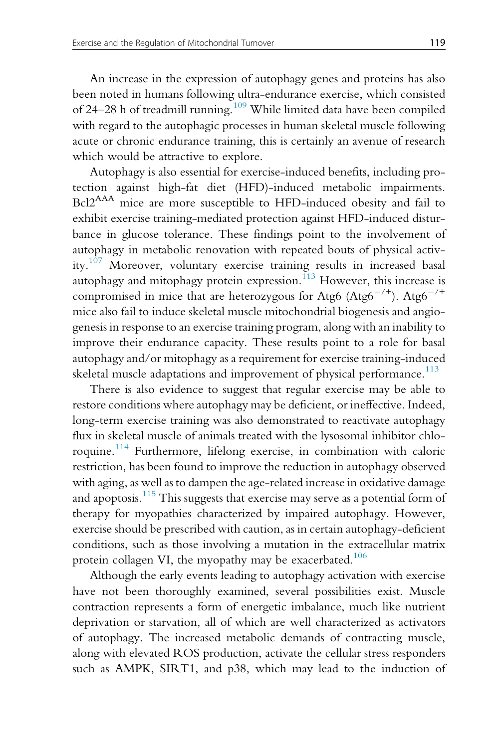An increase in the expression of autophagy genes and proteins has also been noted in humans following ultra-endurance exercise, which consisted of 24–28 h of treadmill running.<sup>[109](#page-28-0)</sup> While limited data have been compiled with regard to the autophagic processes in human skeletal muscle following acute or chronic endurance training, this is certainly an avenue of research which would be attractive to explore.

Autophagy is also essential for exercise-induced benefits, including protection against high-fat diet (HFD)-induced metabolic impairments. Bcl2<sup>AAA</sup> mice are more susceptible to HFD-induced obesity and fail to exhibit exercise training-mediated protection against HFD-induced disturbance in glucose tolerance. These findings point to the involvement of autophagy in metabolic renovation with repeated bouts of physical activ-ity.<sup>[107](#page-27-0)</sup> Moreover, voluntary exercise training results in increased basal autophagy and mitophagy protein expression. $113$  However, this increase is compromised in mice that are heterozygous for Atg6 (Atg6<sup>-/+</sup>). Atg6<sup>-/+</sup> mice also fail to induce skeletal muscle mitochondrial biogenesis and angiogenesis in response to an exercise training program, along with an inability to improve their endurance capacity. These results point to a role for basal autophagy and/or mitophagy as a requirement for exercise training-induced skeletal muscle adaptations and improvement of physical performance. $113$ 

There is also evidence to suggest that regular exercise may be able to restore conditions where autophagy may be deficient, or ineffective. Indeed, long-term exercise training was also demonstrated to reactivate autophagy flux in skeletal muscle of animals treated with the lysosomal inhibitor chloroquine.[114](#page-28-0) Furthermore, lifelong exercise, in combination with caloric restriction, has been found to improve the reduction in autophagy observed with aging, as well as to dampen the age-related increase in oxidative damage and apoptosis. $115$  This suggests that exercise may serve as a potential form of therapy for myopathies characterized by impaired autophagy. However, exercise should be prescribed with caution, as in certain autophagy-deficient conditions, such as those involving a mutation in the extracellular matrix protein collagen VI, the myopathy may be exacerbated.<sup>[106](#page-27-0)</sup>

Although the early events leading to autophagy activation with exercise have not been thoroughly examined, several possibilities exist. Muscle contraction represents a form of energetic imbalance, much like nutrient deprivation or starvation, all of which are well characterized as activators of autophagy. The increased metabolic demands of contracting muscle, along with elevated ROS production, activate the cellular stress responders such as AMPK, SIRT1, and p38, which may lead to the induction of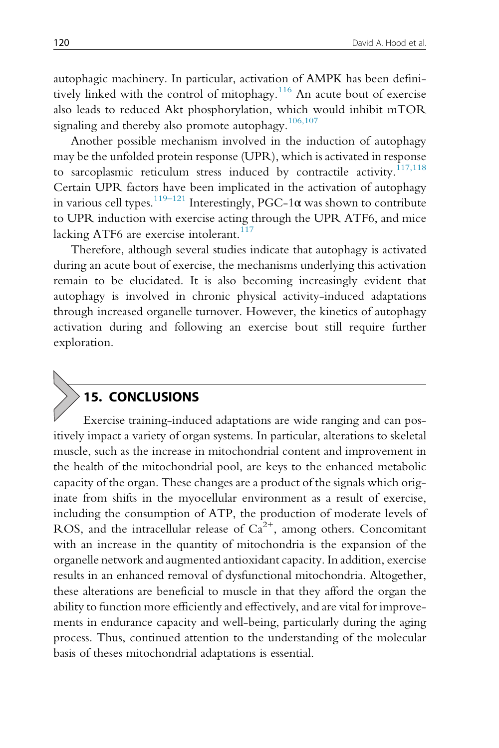autophagic machinery. In particular, activation of AMPK has been defini-tively linked with the control of mitophagy.<sup>[116](#page-28-0)</sup> An acute bout of exercise also leads to reduced Akt phosphorylation, which would inhibit mTOR signaling and thereby also promote autophagy.  $106,107$ 

Another possible mechanism involved in the induction of autophagy may be the unfolded protein response (UPR), which is activated in response to sarcoplasmic reticulum stress induced by contractile activity.<sup>[117,118](#page-28-0)</sup> Certain UPR factors have been implicated in the activation of autophagy in various cell types.<sup>[119–121](#page-28-0)</sup> Interestingly, PGC-1 $\alpha$  was shown to contribute to UPR induction with exercise acting through the UPR ATF6, and mice lacking ATF6 are exercise intolerant.<sup>[117](#page-28-0)</sup>

Therefore, although several studies indicate that autophagy is activated during an acute bout of exercise, the mechanisms underlying this activation remain to be elucidated. It is also becoming increasingly evident that autophagy is involved in chronic physical activity-induced adaptations through increased organelle turnover. However, the kinetics of autophagy activation during and following an exercise bout still require further exploration.

#### 15. CONCLUSIONS

Exercise training-induced adaptations are wide ranging and can positively impact a variety of organ systems. In particular, alterations to skeletal muscle, such as the increase in mitochondrial content and improvement in the health of the mitochondrial pool, are keys to the enhanced metabolic capacity of the organ. These changes are a product of the signals which originate from shifts in the myocellular environment as a result of exercise, including the consumption of ATP, the production of moderate levels of ROS, and the intracellular release of  $Ca^{2+}$ , among others. Concomitant with an increase in the quantity of mitochondria is the expansion of the organelle network and augmented antioxidant capacity. In addition, exercise results in an enhanced removal of dysfunctional mitochondria. Altogether, these alterations are beneficial to muscle in that they afford the organ the ability to function more efficiently and effectively, and are vital for improvements in endurance capacity and well-being, particularly during the aging process. Thus, continued attention to the understanding of the molecular basis of theses mitochondrial adaptations is essential.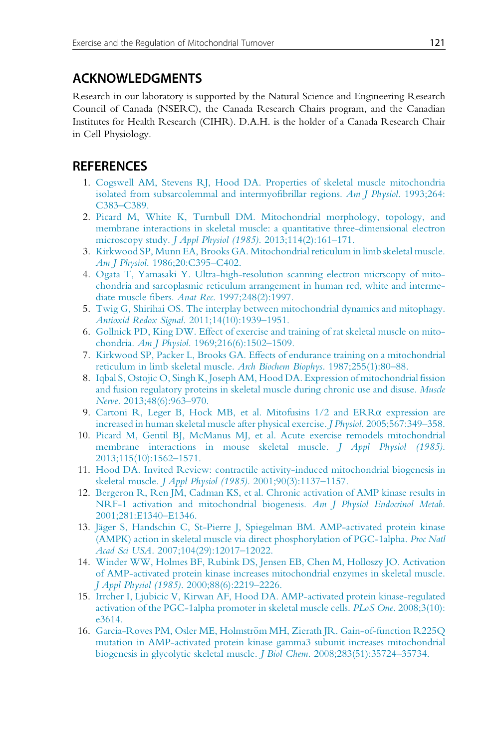#### <span id="page-22-0"></span>ACKNOWLEDGMENTS

Research in our laboratory is supported by the Natural Science and Engineering Research Council of Canada (NSERC), the Canada Research Chairs program, and the Canadian Institutes for Health Research (CIHR). D.A.H. is the holder of a Canada Research Chair in Cell Physiology.

#### REFERENCES

- 1. [Cogswell AM, Stevens RJ, Hood DA. Properties of skeletal muscle mitochondria](http://refhub.elsevier.com/S1877-1173(15)00139-8/rf0005) [isolated from subsarcolemmal and intermyofibrillar regions.](http://refhub.elsevier.com/S1877-1173(15)00139-8/rf0005) Am J Physiol. 1993;264: [C383–C389.](http://refhub.elsevier.com/S1877-1173(15)00139-8/rf0005)
- 2. [Picard M, White K, Turnbull DM. Mitochondrial morphology, topology, and](http://refhub.elsevier.com/S1877-1173(15)00139-8/rf0010) [membrane interactions in skeletal muscle: a quantitative three-dimensional electron](http://refhub.elsevier.com/S1877-1173(15)00139-8/rf0010) microscopy study. J Appl Physiol (1985)[. 2013;114\(2\):161–171.](http://refhub.elsevier.com/S1877-1173(15)00139-8/rf0010)
- 3. [Kirkwood SP, Munn EA, Brooks GA. Mitochondrial reticulum in limb skeletal muscle.](http://refhub.elsevier.com/S1877-1173(15)00139-8/rf0015) Am J Physiol[. 1986;20:C395–C402.](http://refhub.elsevier.com/S1877-1173(15)00139-8/rf0015)
- 4. [Ogata T, Yamasaki Y. Ultra-high-resolution scanning electron micrscopy of mito](http://refhub.elsevier.com/S1877-1173(15)00139-8/rf0020)[chondria and sarcoplasmic reticulum arrangement in human red, white and interme](http://refhub.elsevier.com/S1877-1173(15)00139-8/rf0020)diate muscle fibers. Anat Rec[. 1997;248\(2\):1997.](http://refhub.elsevier.com/S1877-1173(15)00139-8/rf0020)
- 5. [Twig G, Shirihai OS. The interplay between mitochondrial dynamics and mitophagy.](http://refhub.elsevier.com/S1877-1173(15)00139-8/rf0025) Antioxid Redox Signal[. 2011;14\(10\):1939–1951.](http://refhub.elsevier.com/S1877-1173(15)00139-8/rf0025)
- 6. [Gollnick PD, King DW. Effect of exercise and training of rat skeletal muscle on mito](http://refhub.elsevier.com/S1877-1173(15)00139-8/rf0030)chondria. Am J Physiol[. 1969;216\(6\):1502–1509.](http://refhub.elsevier.com/S1877-1173(15)00139-8/rf0030)
- 7. [Kirkwood SP, Packer L, Brooks GA. Effects of endurance training on a mitochondrial](http://refhub.elsevier.com/S1877-1173(15)00139-8/rf0035) [reticulum in limb skeletal muscle.](http://refhub.elsevier.com/S1877-1173(15)00139-8/rf0035) Arch Biochem Biophys. 1987;255(1):80–88.
- 8. [Iqbal S, Ostojic O, Singh K, Joseph AM, Hood DA. Expression of mitochondrial fission](http://refhub.elsevier.com/S1877-1173(15)00139-8/rf0040) [and fusion regulatory proteins in skeletal muscle during chronic use and disuse.](http://refhub.elsevier.com/S1877-1173(15)00139-8/rf0040) Muscle Nerve[. 2013;48\(6\):963–970.](http://refhub.elsevier.com/S1877-1173(15)00139-8/rf0040)
- 9. Cartoni R, Leger B, Hock MB, et al. Mitofusins  $1/2$  and  $\text{ERR}\alpha$  [expression are](http://refhub.elsevier.com/S1877-1173(15)00139-8/rf0045) [increased in human skeletal muscle after physical exercise.](http://refhub.elsevier.com/S1877-1173(15)00139-8/rf0045) J Physiol. 2005;567:349–358.
- 10. [Picard M, Gentil BJ, McManus MJ, et al. Acute exercise remodels mitochondrial](http://refhub.elsevier.com/S1877-1173(15)00139-8/rf0050) [membrane interactions in mouse skeletal muscle.](http://refhub.elsevier.com/S1877-1173(15)00139-8/rf0050) J Appl Physiol (1985). [2013;115\(10\):1562–1571.](http://refhub.elsevier.com/S1877-1173(15)00139-8/rf0050)
- 11. [Hood DA. Invited Review: contractile activity-induced mitochondrial biogenesis in](http://refhub.elsevier.com/S1877-1173(15)00139-8/rf0055) skeletal muscle. J Appl Physiol (1985)[. 2001;90\(3\):1137–1157.](http://refhub.elsevier.com/S1877-1173(15)00139-8/rf0055)
- 12. [Bergeron R, Ren JM, Cadman KS, et al. Chronic activation of AMP kinase results in](http://refhub.elsevier.com/S1877-1173(15)00139-8/rf0060) [NRF-1 activation and mitochondrial biogenesis.](http://refhub.elsevier.com/S1877-1173(15)00139-8/rf0060) Am J Physiol Endocrinol Metab. [2001;281:E1340–E1346.](http://refhub.elsevier.com/S1877-1173(15)00139-8/rf0060)
- 13. Jäger S, Handschin C, St-Pierre J, Spiegelman BM. AMP-activated protein kinase [\(AMPK\) action in skeletal muscle via direct phosphorylation of PGC-1alpha.](http://refhub.elsevier.com/S1877-1173(15)00139-8/rf0065) Proc Natl Acad Sci USA[. 2007;104\(29\):12017–12022.](http://refhub.elsevier.com/S1877-1173(15)00139-8/rf0065)
- 14. [Winder WW, Holmes BF, Rubink DS, Jensen EB, Chen M, Holloszy JO. Activation](http://refhub.elsevier.com/S1877-1173(15)00139-8/rf0070) [of AMP-activated protein kinase increases mitochondrial enzymes in skeletal muscle.](http://refhub.elsevier.com/S1877-1173(15)00139-8/rf0070) J Appl Physiol (1985)[. 2000;88\(6\):2219–2226.](http://refhub.elsevier.com/S1877-1173(15)00139-8/rf0070)
- 15. [Irrcher I, Ljubicic V, Kirwan AF, Hood DA. AMP-activated protein kinase-regulated](http://refhub.elsevier.com/S1877-1173(15)00139-8/rf0075) [activation of the PGC-1alpha promoter in skeletal muscle cells.](http://refhub.elsevier.com/S1877-1173(15)00139-8/rf0075) PLoS One. 2008;3(10): [e3614.](http://refhub.elsevier.com/S1877-1173(15)00139-8/rf0075)
- 16. Garcia-Roves PM, Osler ME, Holmström MH, Zierath JR. Gain-of-function R225Q [mutation in AMP-activated protein kinase gamma3 subunit increases mitochondrial](http://refhub.elsevier.com/S1877-1173(15)00139-8/rf0080) [biogenesis in glycolytic skeletal muscle.](http://refhub.elsevier.com/S1877-1173(15)00139-8/rf0080) J Biol Chem. 2008;283(51):35724–35734.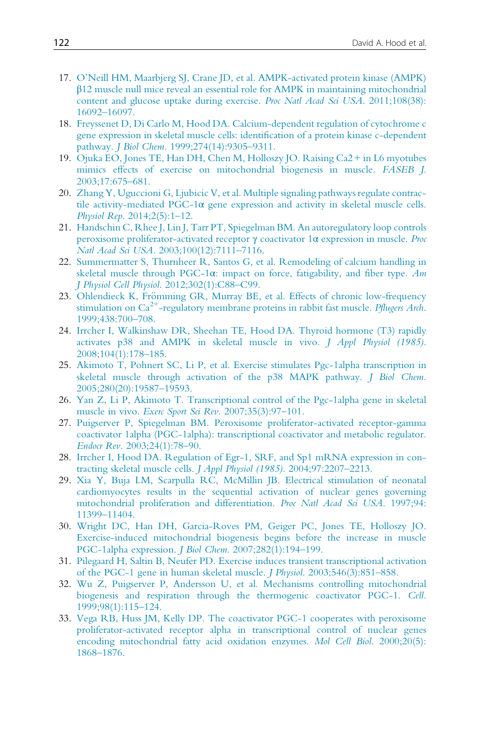- <span id="page-23-0"></span>17. [O'Neill HM, Maarbjerg SJ, Crane JD, et al. AMPK-activated protein kinase \(AMPK\)](http://refhub.elsevier.com/S1877-1173(15)00139-8/rf0085) β[12 muscle null mice reveal an essential role for AMPK in maintaining mitochondrial](http://refhub.elsevier.com/S1877-1173(15)00139-8/rf0085) [content and glucose uptake during exercise.](http://refhub.elsevier.com/S1877-1173(15)00139-8/rf0085) Proc Natl Acad Sci USA. 2011;108(38): [16092–16097.](http://refhub.elsevier.com/S1877-1173(15)00139-8/rf0085)
- 18. [Freyssenet D, Di Carlo M, Hood DA. Calcium-dependent regulation of cytochrome c](http://refhub.elsevier.com/S1877-1173(15)00139-8/rf0090) [gene expression in skeletal muscle cells: identification of a protein kinase c-dependent](http://refhub.elsevier.com/S1877-1173(15)00139-8/rf0090) pathway. J Biol Chem[. 1999;274\(14\):9305–9311.](http://refhub.elsevier.com/S1877-1173(15)00139-8/rf0090)
- 19. [Ojuka EO, Jones TE, Han DH, Chen M, Holloszy JO. Raising Ca2+ in L6 myotubes](http://refhub.elsevier.com/S1877-1173(15)00139-8/rf0095) [mimics effects of exercise on mitochondrial biogenesis in muscle.](http://refhub.elsevier.com/S1877-1173(15)00139-8/rf0095) FASEB J. [2003;17:675–681.](http://refhub.elsevier.com/S1877-1173(15)00139-8/rf0095)
- 20. [Zhang Y, Uguccioni G, Ljubicic V, et al. Multiple signaling pathways regulate contrac](http://refhub.elsevier.com/S1877-1173(15)00139-8/rf0100)tile activity-mediated  $PGC-1\alpha$  [gene expression and activity in skeletal muscle cells.](http://refhub.elsevier.com/S1877-1173(15)00139-8/rf0100) Physiol Rep[. 2014;2\(5\):1–12.](http://refhub.elsevier.com/S1877-1173(15)00139-8/rf0100)
- 21. [Handschin C, Rhee J, Lin J, Tarr PT, Spiegelman BM. An autoregulatory loop controls](http://refhub.elsevier.com/S1877-1173(15)00139-8/rf0105) [peroxisome proliferator-activated receptor](http://refhub.elsevier.com/S1877-1173(15)00139-8/rf0105) γ [coactivator 1](http://refhub.elsevier.com/S1877-1173(15)00139-8/rf0105)α [expression in muscle.](http://refhub.elsevier.com/S1877-1173(15)00139-8/rf0105) Proc Natl Acad Sci USA[. 2003;100\(12\):7111–7116.](http://refhub.elsevier.com/S1877-1173(15)00139-8/rf0105)
- 22. [Summermatter S, Thurnheer R, Santos G, et al. Remodeling of calcium handling in](http://refhub.elsevier.com/S1877-1173(15)00139-8/rf0110) [skeletal muscle through PGC-1](http://refhub.elsevier.com/S1877-1173(15)00139-8/rf0110) $\alpha$ [: impact on force, fatigability, and fiber type.](http://refhub.elsevier.com/S1877-1173(15)00139-8/rf0110) Am J Physiol Cell Physiol[. 2012;302\(1\):C88–C99.](http://refhub.elsevier.com/S1877-1173(15)00139-8/rf0110)
- 23. Ohlendieck K, Frömming GR, Murray BE, et al. Effects of chronic low-frequency [stimulation](http://refhub.elsevier.com/S1877-1173(15)00139-8/rf0115) [on](http://refhub.elsevier.com/S1877-1173(15)00139-8/rf0115)  $Ca^{2+}$  $Ca^{2+}$ [-regulatory membrane proteins in rabbit fast muscle.](http://refhub.elsevier.com/S1877-1173(15)00139-8/rf0115) *Pflugers Arch*. [1999;438:700–708.](http://refhub.elsevier.com/S1877-1173(15)00139-8/rf0115)
- 24. [Irrcher I, Walkinshaw DR, Sheehan TE, Hood DA. Thyroid hormone \(T3\) rapidly](http://refhub.elsevier.com/S1877-1173(15)00139-8/rf0120) [activates p38 and AMPK in skeletal muscle in vivo.](http://refhub.elsevier.com/S1877-1173(15)00139-8/rf0120) J Appl Physiol (1985). [2008;104\(1\):178–185.](http://refhub.elsevier.com/S1877-1173(15)00139-8/rf0120)
- 25. [Akimoto T, Pohnert SC, Li P, et al. Exercise stimulates Pgc-1alpha transcription in](http://refhub.elsevier.com/S1877-1173(15)00139-8/rf0125) [skeletal muscle through activation of the p38 MAPK pathway.](http://refhub.elsevier.com/S1877-1173(15)00139-8/rf0125) J Biol Chem. [2005;280\(20\):19587–19593.](http://refhub.elsevier.com/S1877-1173(15)00139-8/rf0125)
- 26. [Yan Z, Li P, Akimoto T. Transcriptional control of the Pgc-1alpha gene in skeletal](http://refhub.elsevier.com/S1877-1173(15)00139-8/rf0130) muscle in vivo. Exerc Sport Sci Rev[. 2007;35\(3\):97–101.](http://refhub.elsevier.com/S1877-1173(15)00139-8/rf0130)
- 27. [Puigserver P, Spiegelman BM. Peroxisome proliferator-activated receptor-gamma](http://refhub.elsevier.com/S1877-1173(15)00139-8/rf0135) [coactivator 1alpha \(PGC-1alpha\): transcriptional coactivator and metabolic regulator.](http://refhub.elsevier.com/S1877-1173(15)00139-8/rf0135) Endocr Rev[. 2003;24\(1\):78–90.](http://refhub.elsevier.com/S1877-1173(15)00139-8/rf0135)
- 28. [Irrcher I, Hood DA. Regulation of Egr-1, SRF, and Sp1 mRNA expression in con](http://refhub.elsevier.com/S1877-1173(15)00139-8/rf0140)[tracting skeletal muscle cells.](http://refhub.elsevier.com/S1877-1173(15)00139-8/rf0140) J Appl Physiol (1985). 2004;97:2207–2213.
- 29. [Xia Y, Buja LM, Scarpulla RC, McMillin JB. Electrical stimulation of neonatal](http://refhub.elsevier.com/S1877-1173(15)00139-8/rf0145) [cardiomyocytes results in the sequential activation of nuclear genes governing](http://refhub.elsevier.com/S1877-1173(15)00139-8/rf0145) [mitochondrial proliferation and differentiation.](http://refhub.elsevier.com/S1877-1173(15)00139-8/rf0145) Proc Natl Acad Sci USA. 1997;94: [11399–11404.](http://refhub.elsevier.com/S1877-1173(15)00139-8/rf0145)
- 30. [Wright DC, Han DH, Garcia-Roves PM, Geiger PC, Jones TE, Holloszy JO.](http://refhub.elsevier.com/S1877-1173(15)00139-8/rf0150) [Exercise-induced mitochondrial biogenesis begins before the increase in muscle](http://refhub.elsevier.com/S1877-1173(15)00139-8/rf0150) [PGC-1alpha expression.](http://refhub.elsevier.com/S1877-1173(15)00139-8/rf0150) J Biol Chem. 2007;282(1):194–199.
- 31. [Pilegaard H, Saltin B, Neufer PD. Exercise induces transient transcriptional activation](http://refhub.elsevier.com/S1877-1173(15)00139-8/rf0155) [of the PGC-1 gene in human skeletal muscle.](http://refhub.elsevier.com/S1877-1173(15)00139-8/rf0155) J Physiol. 2003;546(3):851–858.
- 32. [Wu Z, Puigserver P, Andersson U, et al. Mechanisms controlling mitochondrial](http://refhub.elsevier.com/S1877-1173(15)00139-8/rf0160) [biogenesis and respiration through the thermogenic coactivator PGC-1.](http://refhub.elsevier.com/S1877-1173(15)00139-8/rf0160) Cell. [1999;98\(1\):115–124.](http://refhub.elsevier.com/S1877-1173(15)00139-8/rf0160)
- 33. [Vega RB, Huss JM, Kelly DP. The coactivator PGC-1 cooperates with peroxisome](http://refhub.elsevier.com/S1877-1173(15)00139-8/rf0165) [proliferator-activated receptor alpha in transcriptional control of nuclear genes](http://refhub.elsevier.com/S1877-1173(15)00139-8/rf0165) [encoding mitochondrial fatty acid oxidation enzymes.](http://refhub.elsevier.com/S1877-1173(15)00139-8/rf0165) Mol Cell Biol. 2000;20(5): [1868–1876.](http://refhub.elsevier.com/S1877-1173(15)00139-8/rf0165)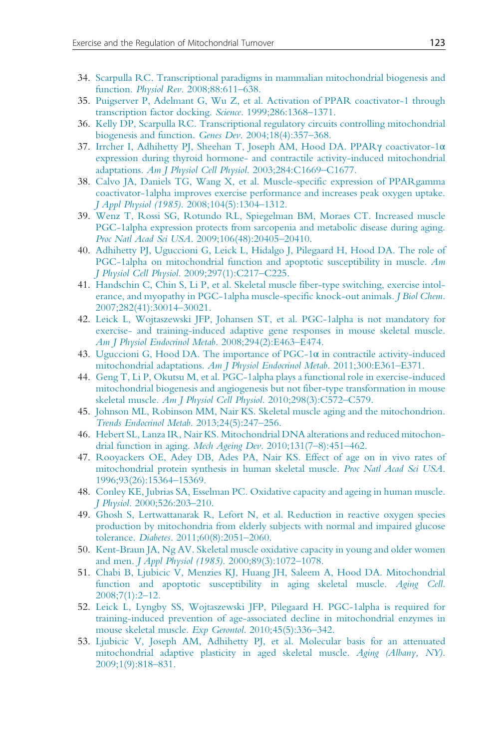- <span id="page-24-0"></span>34. [Scarpulla RC. Transcriptional paradigms in mammalian mitochondrial biogenesis and](http://refhub.elsevier.com/S1877-1173(15)00139-8/rf0170) function. Physiol Rev[. 2008;88:611–638.](http://refhub.elsevier.com/S1877-1173(15)00139-8/rf0170)
- 35. [Puigserver P, Adelmant G, Wu Z, et al. Activation of PPAR coactivator-1 through](http://refhub.elsevier.com/S1877-1173(15)00139-8/rf0175) [transcription factor docking.](http://refhub.elsevier.com/S1877-1173(15)00139-8/rf0175) Science. 1999;286:1368–1371.
- 36. [Kelly DP, Scarpulla RC. Transcriptional regulatory circuits controlling mitochondrial](http://refhub.elsevier.com/S1877-1173(15)00139-8/rf0180) [biogenesis and function.](http://refhub.elsevier.com/S1877-1173(15)00139-8/rf0180) Genes Dev. 2004;18(4):357–368.
- 37. [Irrcher I, Adhihetty PJ, Sheehan T, Joseph AM, Hood DA. PPAR](http://refhub.elsevier.com/S1877-1173(15)00139-8/rf0185)γ [coactivator-1](http://refhub.elsevier.com/S1877-1173(15)00139-8/rf0185)α [expression during thyroid hormone- and contractile activity-induced mitochondrial](http://refhub.elsevier.com/S1877-1173(15)00139-8/rf0185) adaptations. Am J Physiol Cell Physiol[. 2003;284:C1669–C1677.](http://refhub.elsevier.com/S1877-1173(15)00139-8/rf0185)
- 38. [Calvo JA, Daniels TG, Wang X, et al. Muscle-specific expression of PPARgamma](http://refhub.elsevier.com/S1877-1173(15)00139-8/rf0190) [coactivator-1alpha improves exercise performance and increases peak oxygen uptake.](http://refhub.elsevier.com/S1877-1173(15)00139-8/rf0190) J Appl Physiol (1985)[. 2008;104\(5\):1304–1312.](http://refhub.elsevier.com/S1877-1173(15)00139-8/rf0190)
- 39. [Wenz T, Rossi SG, Rotundo RL, Spiegelman BM, Moraes CT. Increased muscle](http://refhub.elsevier.com/S1877-1173(15)00139-8/rf0195) [PGC-1alpha expression protects from sarcopenia and metabolic disease during aging.](http://refhub.elsevier.com/S1877-1173(15)00139-8/rf0195) Proc Natl Acad Sci USA. 2009;106(48):20405-20410.
- 40. [Adhihetty PJ, Uguccioni G, Leick L, Hidalgo J, Pilegaard H, Hood DA. The role of](http://refhub.elsevier.com/S1877-1173(15)00139-8/rf0200) [PGC-1alpha on mitochondrial function and apoptotic susceptibility in muscle.](http://refhub.elsevier.com/S1877-1173(15)00139-8/rf0200) Am J Physiol Cell Physiol[. 2009;297\(1\):C217–C225.](http://refhub.elsevier.com/S1877-1173(15)00139-8/rf0200)
- 41. [Handschin C, Chin S, Li P, et al. Skeletal muscle fiber-type switching, exercise intol](http://refhub.elsevier.com/S1877-1173(15)00139-8/rf0205)[erance, and myopathy in PGC-1alpha muscle-specific knock-out animals.](http://refhub.elsevier.com/S1877-1173(15)00139-8/rf0205) J Biol Chem. [2007;282\(41\):30014–30021.](http://refhub.elsevier.com/S1877-1173(15)00139-8/rf0205)
- 42. [Leick L, Wojtaszewski JFP, Johansen ST, et al. PGC-1alpha is not mandatory for](http://refhub.elsevier.com/S1877-1173(15)00139-8/rf0210) [exercise- and training-induced adaptive gene responses in mouse skeletal muscle.](http://refhub.elsevier.com/S1877-1173(15)00139-8/rf0210) [Am J Physiol Endocrinol Metab](http://refhub.elsevier.com/S1877-1173(15)00139-8/rf0210). 2008;294(2):E463–E474.
- 43. Uguccioni G, Hood DA. The importance of  $PGC-1\alpha$  [in contractile activity-induced](http://refhub.elsevier.com/S1877-1173(15)00139-8/rf0215) mitochondrial adaptations. [Am J Physiol Endocrinol Metab](http://refhub.elsevier.com/S1877-1173(15)00139-8/rf0215). 2011;300:E361–E371.
- 44. [Geng T, Li P, Okutsu M, et al. PGC-1alpha plays a functional role in exercise-induced](http://refhub.elsevier.com/S1877-1173(15)00139-8/rf0220) [mitochondrial biogenesis and angiogenesis but not fiber-type transformation in mouse](http://refhub.elsevier.com/S1877-1173(15)00139-8/rf0220) skeletal muscle. Am J Physiol Cell Physiol[. 2010;298\(3\):C572–C579.](http://refhub.elsevier.com/S1877-1173(15)00139-8/rf0220)
- 45. [Johnson ML, Robinson MM, Nair KS. Skeletal muscle aging and the mitochondrion.](http://refhub.elsevier.com/S1877-1173(15)00139-8/rf0225) [Trends Endocrinol Metab](http://refhub.elsevier.com/S1877-1173(15)00139-8/rf0225). 2013;24(5):247–256.
- 46. [Hebert SL, Lanza IR, Nair KS. Mitochondrial DNA alterations and reduced mitochon](http://refhub.elsevier.com/S1877-1173(15)00139-8/rf0230)drial function in aging. Mech Ageing Dev[. 2010;131\(7–8\):451–462.](http://refhub.elsevier.com/S1877-1173(15)00139-8/rf0230)
- 47. [Rooyackers OE, Adey DB, Ades PA, Nair KS. Effect of age on in vivo rates of](http://refhub.elsevier.com/S1877-1173(15)00139-8/rf0235) [mitochondrial protein synthesis in human skeletal muscle.](http://refhub.elsevier.com/S1877-1173(15)00139-8/rf0235) Proc Natl Acad Sci USA. [1996;93\(26\):15364–15369.](http://refhub.elsevier.com/S1877-1173(15)00139-8/rf0235)
- 48. [Conley KE, Jubrias SA, Esselman PC. Oxidative capacity and ageing in human muscle.](http://refhub.elsevier.com/S1877-1173(15)00139-8/rf0240) J Physiol[. 2000;526:203–210.](http://refhub.elsevier.com/S1877-1173(15)00139-8/rf0240)
- 49. [Ghosh S, Lertwattanarak R, Lefort N, et al. Reduction in reactive oxygen species](http://refhub.elsevier.com/S1877-1173(15)00139-8/rf0245) [production by mitochondria from elderly subjects with normal and impaired glucose](http://refhub.elsevier.com/S1877-1173(15)00139-8/rf0245) tolerance. Diabetes[. 2011;60\(8\):2051–2060.](http://refhub.elsevier.com/S1877-1173(15)00139-8/rf0245)
- 50. [Kent-Braun JA, Ng AV. Skeletal muscle oxidative capacity in young and older women](http://refhub.elsevier.com/S1877-1173(15)00139-8/rf0250) and men. J Appl Physiol (1985)[. 2000;89\(3\):1072–1078.](http://refhub.elsevier.com/S1877-1173(15)00139-8/rf0250)
- 51. [Chabi B, Ljubicic V, Menzies KJ, Huang JH, Saleem A, Hood DA. Mitochondrial](http://refhub.elsevier.com/S1877-1173(15)00139-8/rf0255) [function and apoptotic susceptibility in aging skeletal muscle.](http://refhub.elsevier.com/S1877-1173(15)00139-8/rf0255) Aging Cell. [2008;7\(1\):2–12.](http://refhub.elsevier.com/S1877-1173(15)00139-8/rf0255)
- 52. [Leick L, Lyngby SS, Wojtaszewski JFP, Pilegaard H. PGC-1alpha is required for](http://refhub.elsevier.com/S1877-1173(15)00139-8/rf0260) [training-induced prevention of age-associated decline in mitochondrial enzymes in](http://refhub.elsevier.com/S1877-1173(15)00139-8/rf0260) [mouse skeletal muscle.](http://refhub.elsevier.com/S1877-1173(15)00139-8/rf0260) Exp Gerontol. 2010;45(5):336–342.
- 53. [Ljubicic V, Joseph AM, Adhihetty PJ, et al. Molecular basis for an attenuated](http://refhub.elsevier.com/S1877-1173(15)00139-8/rf0280) [mitochondrial adaptive plasticity in aged skeletal muscle.](http://refhub.elsevier.com/S1877-1173(15)00139-8/rf0280) Aging (Albany, NY). [2009;1\(9\):818–831.](http://refhub.elsevier.com/S1877-1173(15)00139-8/rf0280)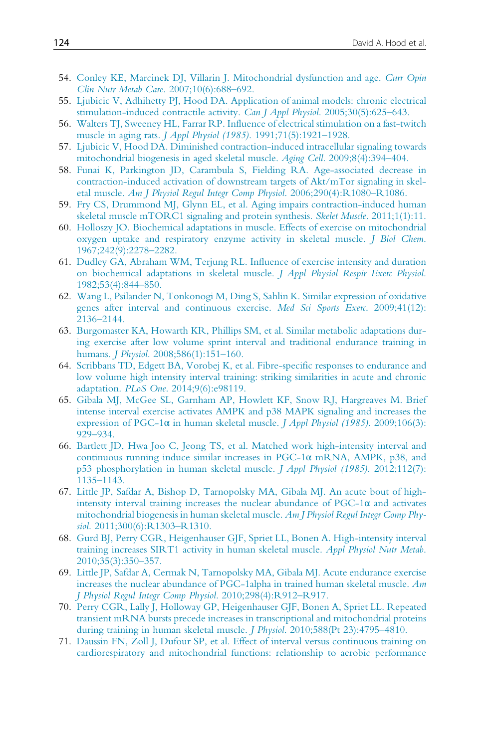- <span id="page-25-0"></span>54. [Conley KE, Marcinek DJ, Villarin J. Mitochondrial dysfunction and age.](http://refhub.elsevier.com/S1877-1173(15)00139-8/rf0265) Curr Opin Clin Nutr Metab Care[. 2007;10\(6\):688–692.](http://refhub.elsevier.com/S1877-1173(15)00139-8/rf0265)
- 55. [Ljubicic V, Adhihetty PJ, Hood DA. Application of animal models: chronic electrical](http://refhub.elsevier.com/S1877-1173(15)00139-8/rf0270) [stimulation-induced contractile activity.](http://refhub.elsevier.com/S1877-1173(15)00139-8/rf0270) Can J Appl Physiol. 2005;30(5):625–643.
- 56. [Walters TJ, Sweeney HL, Farrar RP. Influence of electrical stimulation on a fast-twitch](http://refhub.elsevier.com/S1877-1173(15)00139-8/rf0275) muscle in aging rats. J Appl Physiol (1985)[. 1991;71\(5\):1921–1928.](http://refhub.elsevier.com/S1877-1173(15)00139-8/rf0275)
- 57. [Ljubicic V, Hood DA. Diminished contraction-induced intracellular signaling towards](http://refhub.elsevier.com/S1877-1173(15)00139-8/rf0285) [mitochondrial biogenesis in aged skeletal muscle.](http://refhub.elsevier.com/S1877-1173(15)00139-8/rf0285) Aging Cell. 2009;8(4):394–404.
- 58. [Funai K, Parkington JD, Carambula S, Fielding RA. Age-associated decrease in](http://refhub.elsevier.com/S1877-1173(15)00139-8/rf0290) [contraction-induced activation of downstream targets of Akt/mTor signaling in skel](http://refhub.elsevier.com/S1877-1173(15)00139-8/rf0290)etal muscle. [Am J Physiol Regul Integr Comp Physiol](http://refhub.elsevier.com/S1877-1173(15)00139-8/rf0290). 2006;290(4):R1080–R1086.
- 59. [Fry CS, Drummond MJ, Glynn EL, et al. Aging impairs contraction-induced human](http://refhub.elsevier.com/S1877-1173(15)00139-8/rf0295) [skeletal muscle mTORC1 signaling and protein synthesis.](http://refhub.elsevier.com/S1877-1173(15)00139-8/rf0295) Skelet Muscle. 2011;1(1):11.
- 60. [Holloszy JO. Biochemical adaptations in muscle. Effects of exercise on mitochondrial](http://refhub.elsevier.com/S1877-1173(15)00139-8/rf0300) [oxygen uptake and respiratory enzyme activity in skeletal muscle.](http://refhub.elsevier.com/S1877-1173(15)00139-8/rf0300) J Biol Chem. [1967;242\(9\):2278–2282.](http://refhub.elsevier.com/S1877-1173(15)00139-8/rf0300)
- 61. [Dudley GA, Abraham WM, Terjung RL. Influence of exercise intensity and duration](http://refhub.elsevier.com/S1877-1173(15)00139-8/rf0305) [on biochemical adaptations in skeletal muscle.](http://refhub.elsevier.com/S1877-1173(15)00139-8/rf0305) J Appl Physiol Respir Exerc Physiol. [1982;53\(4\):844–850.](http://refhub.elsevier.com/S1877-1173(15)00139-8/rf0305)
- 62. [Wang L, Psilander N, Tonkonogi M, Ding S, Sahlin K. Similar expression of oxidative](http://refhub.elsevier.com/S1877-1173(15)00139-8/rf0310) [genes after interval and continuous exercise.](http://refhub.elsevier.com/S1877-1173(15)00139-8/rf0310) Med Sci Sports Exerc. 2009;41(12): [2136–2144.](http://refhub.elsevier.com/S1877-1173(15)00139-8/rf0310)
- 63. [Burgomaster KA, Howarth KR, Phillips SM, et al. Similar metabolic adaptations dur](http://refhub.elsevier.com/S1877-1173(15)00139-8/rf0315)[ing exercise after low volume sprint interval and traditional endurance training in](http://refhub.elsevier.com/S1877-1173(15)00139-8/rf0315) humans. J Physiol[. 2008;586\(1\):151–160.](http://refhub.elsevier.com/S1877-1173(15)00139-8/rf0315)
- 64. [Scribbans TD, Edgett BA, Vorobej K, et al. Fibre-specific responses to endurance and](http://refhub.elsevier.com/S1877-1173(15)00139-8/rf0320) [low volume high intensity interval training: striking similarities in acute and chronic](http://refhub.elsevier.com/S1877-1173(15)00139-8/rf0320) adaptation. PLoS One[. 2014;9\(6\):e98119.](http://refhub.elsevier.com/S1877-1173(15)00139-8/rf0320)
- 65. [Gibala MJ, McGee SL, Garnham AP, Howlett KF, Snow RJ, Hargreaves M. Brief](http://refhub.elsevier.com/S1877-1173(15)00139-8/rf0325) [intense interval exercise activates AMPK and p38 MAPK signaling and increases the](http://refhub.elsevier.com/S1877-1173(15)00139-8/rf0325) [expression of PGC-1](http://refhub.elsevier.com/S1877-1173(15)00139-8/rf0325) $\alpha$  [in human skeletal muscle.](http://refhub.elsevier.com/S1877-1173(15)00139-8/rf0325) *J Appl Physiol (1985)*. 2009;106(3): [929–934.](http://refhub.elsevier.com/S1877-1173(15)00139-8/rf0325)
- 66. [Bartlett JD, Hwa Joo C, Jeong TS, et al. Matched work high-intensity interval and](http://refhub.elsevier.com/S1877-1173(15)00139-8/rf0330) continuous running induce similar increases in  $PGC-1\alpha$  [mRNA, AMPK, p38, and](http://refhub.elsevier.com/S1877-1173(15)00139-8/rf0330) [p53 phosphorylation in human skeletal muscle.](http://refhub.elsevier.com/S1877-1173(15)00139-8/rf0330) J Appl Physiol (1985). 2012;112(7): [1135–1143.](http://refhub.elsevier.com/S1877-1173(15)00139-8/rf0330)
- 67. [Little JP, Safdar A, Bishop D, Tarnopolsky MA, Gibala MJ. An acute bout of high](http://refhub.elsevier.com/S1877-1173(15)00139-8/rf0335)intensity interval training increases the nuclear abundance of  $PGC-1\alpha$  [and activates](http://refhub.elsevier.com/S1877-1173(15)00139-8/rf0335) [mitochondrial biogenesis in human skeletal muscle.](http://refhub.elsevier.com/S1877-1173(15)00139-8/rf0335) Am J Physiol Regul Integr Comp Physiol[. 2011;300\(6\):R1303–R1310.](http://refhub.elsevier.com/S1877-1173(15)00139-8/rf0335)
- 68. [Gurd BJ, Perry CGR, Heigenhauser GJF, Spriet LL, Bonen A. High-intensity interval](http://refhub.elsevier.com/S1877-1173(15)00139-8/rf0340) [training increases SIRT1 activity in human skeletal muscle.](http://refhub.elsevier.com/S1877-1173(15)00139-8/rf0340) Appl Physiol Nutr Metab. [2010;35\(3\):350–357.](http://refhub.elsevier.com/S1877-1173(15)00139-8/rf0340)
- 69. [Little JP, Safdar A, Cermak N, Tarnopolsky MA, Gibala MJ. Acute endurance exercise](http://refhub.elsevier.com/S1877-1173(15)00139-8/rf0345) [increases the nuclear abundance of PGC-1alpha in trained human skeletal muscle.](http://refhub.elsevier.com/S1877-1173(15)00139-8/rf0345) Am [J Physiol Regul Integr Comp Physiol](http://refhub.elsevier.com/S1877-1173(15)00139-8/rf0345). 2010;298(4):R912–R917.
- 70. [Perry CGR, Lally J, Holloway GP, Heigenhauser GJF, Bonen A, Spriet LL. Repeated](http://refhub.elsevier.com/S1877-1173(15)00139-8/rf0350) [transient mRNA bursts precede increases in transcriptional and mitochondrial proteins](http://refhub.elsevier.com/S1877-1173(15)00139-8/rf0350) [during training in human skeletal muscle.](http://refhub.elsevier.com/S1877-1173(15)00139-8/rf0350) J Physiol. 2010;588(Pt 23):4795–4810.
- 71. [Daussin FN, Zoll J, Dufour SP, et al. Effect of interval versus continuous training on](http://refhub.elsevier.com/S1877-1173(15)00139-8/rf0355) [cardiorespiratory and mitochondrial functions: relationship to aerobic performance](http://refhub.elsevier.com/S1877-1173(15)00139-8/rf0355)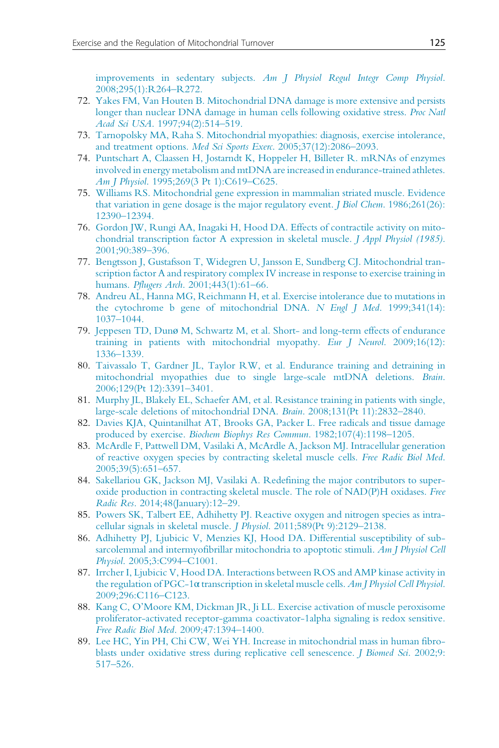<span id="page-26-0"></span>improvements in sedentary subjects. [Am J Physiol Regul Integr Comp Physiol](http://refhub.elsevier.com/S1877-1173(15)00139-8/rf0355). [2008;295\(1\):R264–R272.](http://refhub.elsevier.com/S1877-1173(15)00139-8/rf0355)

- 72. [Yakes FM, Van Houten B. Mitochondrial DNA damage is more extensive and persists](http://refhub.elsevier.com/S1877-1173(15)00139-8/rf0360) [longer than nuclear DNA damage in human cells following oxidative stress.](http://refhub.elsevier.com/S1877-1173(15)00139-8/rf0360) Proc Natl Acad Sci USA[. 1997;94\(2\):514–519.](http://refhub.elsevier.com/S1877-1173(15)00139-8/rf0360)
- 73. [Tarnopolsky MA, Raha S. Mitochondrial myopathies: diagnosis, exercise intolerance,](http://refhub.elsevier.com/S1877-1173(15)00139-8/rf0365) and treatment options. Med Sci Sports Exerc[. 2005;37\(12\):2086–2093.](http://refhub.elsevier.com/S1877-1173(15)00139-8/rf0365)
- 74. [Puntschart A, Claassen H, Jostarndt K, Hoppeler H, Billeter R. mRNAs of enzymes](http://refhub.elsevier.com/S1877-1173(15)00139-8/rf0370) [involved in energy metabolism and mtDNA are increased in endurance-trained athletes.](http://refhub.elsevier.com/S1877-1173(15)00139-8/rf0370) Am J Physiol[. 1995;269\(3 Pt 1\):C619–C625.](http://refhub.elsevier.com/S1877-1173(15)00139-8/rf0370)
- 75. [Williams RS. Mitochondrial gene expression in mammalian striated muscle. Evidence](http://refhub.elsevier.com/S1877-1173(15)00139-8/rf0375) [that variation in gene dosage is the major regulatory event.](http://refhub.elsevier.com/S1877-1173(15)00139-8/rf0375) *J Biol Chem*. 1986;261(26): [12390–12394.](http://refhub.elsevier.com/S1877-1173(15)00139-8/rf0375)
- 76. [Gordon JW, Rungi AA, Inagaki H, Hood DA. Effects of contractile activity on mito](http://refhub.elsevier.com/S1877-1173(15)00139-8/rf0380)[chondrial transcription factor A expression in skeletal muscle.](http://refhub.elsevier.com/S1877-1173(15)00139-8/rf0380) J Appl Physiol (1985). [2001;90:389–396.](http://refhub.elsevier.com/S1877-1173(15)00139-8/rf0380)
- 77. [Bengtsson J, Gustafsson T, Widegren U, Jansson E, Sundberg CJ. Mitochondrial tran](http://refhub.elsevier.com/S1877-1173(15)00139-8/rf0385)[scription factor A and respiratory complex IV increase in response to exercise training in](http://refhub.elsevier.com/S1877-1173(15)00139-8/rf0385) humans. Pflugers Arch[. 2001;443\(1\):61–66.](http://refhub.elsevier.com/S1877-1173(15)00139-8/rf0385)
- 78. [Andreu AL, Hanna MG, Reichmann H, et al. Exercise intolerance due to mutations in](http://refhub.elsevier.com/S1877-1173(15)00139-8/rf0390) [the cytochrome b gene of mitochondrial DNA.](http://refhub.elsevier.com/S1877-1173(15)00139-8/rf0390) N Engl J Med. 1999;341(14): [1037–1044.](http://refhub.elsevier.com/S1877-1173(15)00139-8/rf0390)
- 79. [Jeppesen TD, Dun](http://refhub.elsevier.com/S1877-1173(15)00139-8/rf0395)ø [M, Schwartz M, et al. Short- and long-term effects of endurance](http://refhub.elsevier.com/S1877-1173(15)00139-8/rf0395) [training in patients with mitochondrial myopathy.](http://refhub.elsevier.com/S1877-1173(15)00139-8/rf0395) Eur J Neurol. 2009;16(12): [1336–1339.](http://refhub.elsevier.com/S1877-1173(15)00139-8/rf0395)
- 80. [Taivassalo T, Gardner JL, Taylor RW, et al. Endurance training and detraining in](http://refhub.elsevier.com/S1877-1173(15)00139-8/rf0400) [mitochondrial myopathies due to single large-scale mtDNA deletions.](http://refhub.elsevier.com/S1877-1173(15)00139-8/rf0400) Brain. [2006;129\(Pt 12\):3391–3401.](http://refhub.elsevier.com/S1877-1173(15)00139-8/rf0400)
- 81. [Murphy JL, Blakely EL, Schaefer AM, et al. Resistance training in patients with single,](http://refhub.elsevier.com/S1877-1173(15)00139-8/rf0405) [large-scale deletions of mitochondrial DNA.](http://refhub.elsevier.com/S1877-1173(15)00139-8/rf0405) Brain. 2008;131(Pt 11):2832–2840.
- 82. [Davies KJA, Quintanilhat AT, Brooks GA, Packer L. Free radicals and tissue damage](http://refhub.elsevier.com/S1877-1173(15)00139-8/rf0410) produced by exercise. [Biochem Biophys Res Commun](http://refhub.elsevier.com/S1877-1173(15)00139-8/rf0410). 1982;107(4):1198–1205.
- 83. [McArdle F, Pattwell DM, Vasilaki A, McArdle A, Jackson MJ. Intracellular generation](http://refhub.elsevier.com/S1877-1173(15)00139-8/rf0415) [of reactive oxygen species by contracting skeletal muscle cells.](http://refhub.elsevier.com/S1877-1173(15)00139-8/rf0415) Free Radic Biol Med. [2005;39\(5\):651–657.](http://refhub.elsevier.com/S1877-1173(15)00139-8/rf0415)
- 84. [Sakellariou GK, Jackson MJ, Vasilaki A. Redefining the major contributors to super](http://refhub.elsevier.com/S1877-1173(15)00139-8/rf0420)[oxide production in contracting skeletal muscle. The role of NAD\(P\)H oxidases.](http://refhub.elsevier.com/S1877-1173(15)00139-8/rf0420) Free Radic Res[. 2014;48\(January\):12–29.](http://refhub.elsevier.com/S1877-1173(15)00139-8/rf0420)
- 85. [Powers SK, Talbert EE, Adhihetty PJ. Reactive oxygen and nitrogen species as intra](http://refhub.elsevier.com/S1877-1173(15)00139-8/rf0425)[cellular signals in skeletal muscle.](http://refhub.elsevier.com/S1877-1173(15)00139-8/rf0425) J Physiol. 2011;589(Pt 9):2129–2138.
- 86. [Adhihetty PJ, Ljubicic V, Menzies KJ, Hood DA. Differential susceptibility of sub](http://refhub.elsevier.com/S1877-1173(15)00139-8/rf0430)[sarcolemmal and intermyofibrillar mitochondria to apoptotic stimuli.](http://refhub.elsevier.com/S1877-1173(15)00139-8/rf0430) Am J Physiol Cell Physiol[. 2005;3:C994–C1001.](http://refhub.elsevier.com/S1877-1173(15)00139-8/rf0430)
- 87. [Irrcher I, Ljubicic V, Hood DA. Interactions between ROS and AMP kinase activity in](http://refhub.elsevier.com/S1877-1173(15)00139-8/rf0435) [the regulation of PGC-1](http://refhub.elsevier.com/S1877-1173(15)00139-8/rf0435) $\alpha$  [transcription in skeletal muscle cells.](http://refhub.elsevier.com/S1877-1173(15)00139-8/rf0435) Am J Physiol Cell Physiol. [2009;296:C116–C123.](http://refhub.elsevier.com/S1877-1173(15)00139-8/rf0435)
- 88. [Kang C, O'Moore KM, Dickman JR, Ji LL. Exercise activation of muscle peroxisome](http://refhub.elsevier.com/S1877-1173(15)00139-8/rf0440) [proliferator-activated receptor-gamma coactivator-1alpha signaling is redox sensitive.](http://refhub.elsevier.com/S1877-1173(15)00139-8/rf0440) Free Radic Biol Med[. 2009;47:1394–1400.](http://refhub.elsevier.com/S1877-1173(15)00139-8/rf0440)
- 89. [Lee HC, Yin PH, Chi CW, Wei YH. Increase in mitochondrial mass in human fibro](http://refhub.elsevier.com/S1877-1173(15)00139-8/rf0445)[blasts under oxidative stress during replicative cell senescence.](http://refhub.elsevier.com/S1877-1173(15)00139-8/rf0445) J Biomed Sci. 2002;9: [517–526.](http://refhub.elsevier.com/S1877-1173(15)00139-8/rf0445)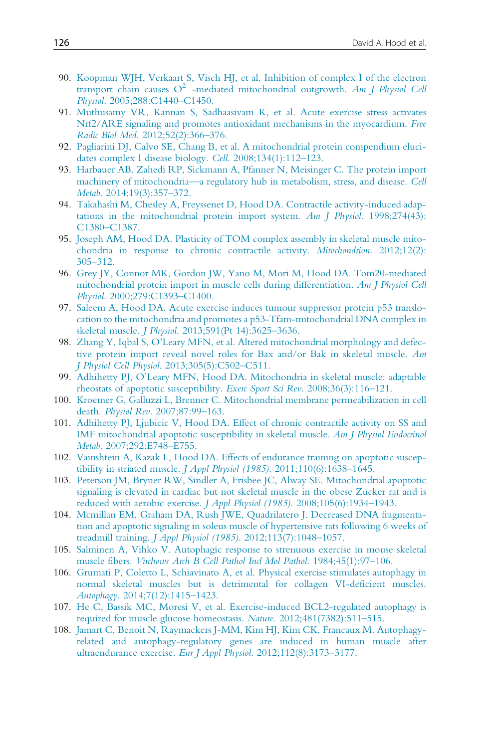- <span id="page-27-0"></span>90. [Koopman WJH, Verkaart S, Visch HJ, et al. Inhibition of complex I of the electron](http://refhub.elsevier.com/S1877-1173(15)00139-8/rf0450) [transport](http://refhub.elsevier.com/S1877-1173(15)00139-8/rf0450) [chain](http://refhub.elsevier.com/S1877-1173(15)00139-8/rf0450) [causes](http://refhub.elsevier.com/S1877-1173(15)00139-8/rf0450)  $O^{2-}$  $O^{2-}$ [-mediated mitochondrial outgrowth.](http://refhub.elsevier.com/S1877-1173(15)00139-8/rf0450) Am J Physiol Cell Physiol[. 2005;288:C1440–C1450.](http://refhub.elsevier.com/S1877-1173(15)00139-8/rf0450)
- 91. [Muthusamy VR, Kannan S, Sadhaasivam K, et al. Acute exercise stress activates](http://refhub.elsevier.com/S1877-1173(15)00139-8/rf0455) [Nrf2/ARE signaling and promotes antioxidant mechanisms in the myocardium.](http://refhub.elsevier.com/S1877-1173(15)00139-8/rf0455) Free Radic Biol Med[. 2012;52\(2\):366–376.](http://refhub.elsevier.com/S1877-1173(15)00139-8/rf0455)
- 92. [Pagliarini DJ, Calvo SE, Chang B, et al. A mitochondrial protein compendium eluci](http://refhub.elsevier.com/S1877-1173(15)00139-8/rf0460)[dates complex I disease biology.](http://refhub.elsevier.com/S1877-1173(15)00139-8/rf0460) Cell. 2008;134(1):112–123.
- 93. [Harbauer AB, Zahedi RP, Sickmann A, Pfanner N, Meisinger C. The protein import](http://refhub.elsevier.com/S1877-1173(15)00139-8/rf0465) [machinery of mitochondria—a regulatory hub in metabolism, stress, and disease.](http://refhub.elsevier.com/S1877-1173(15)00139-8/rf0465) Cell Metab[. 2014;19\(3\):357–372.](http://refhub.elsevier.com/S1877-1173(15)00139-8/rf0465)
- 94. [Takahashi M, Chesley A, Freyssenet D, Hood DA. Contractile activity-induced adap](http://refhub.elsevier.com/S1877-1173(15)00139-8/rf0470)[tations in the mitochondrial protein import system.](http://refhub.elsevier.com/S1877-1173(15)00139-8/rf0470) Am J Physiol. 1998;274(43): [C1380–C1387.](http://refhub.elsevier.com/S1877-1173(15)00139-8/rf0470)
- 95. [Joseph AM, Hood DA. Plasticity of TOM complex assembly in skeletal muscle mito](http://refhub.elsevier.com/S1877-1173(15)00139-8/rf0475)[chondria in response to chronic contractile activity.](http://refhub.elsevier.com/S1877-1173(15)00139-8/rf0475) Mitochondrion. 2012;12(2): [305–312.](http://refhub.elsevier.com/S1877-1173(15)00139-8/rf0475)
- 96. [Grey JY, Connor MK, Gordon JW, Yano M, Mori M, Hood DA. Tom20-mediated](http://refhub.elsevier.com/S1877-1173(15)00139-8/rf0480) [mitochondrial protein import in muscle cells during differentiation.](http://refhub.elsevier.com/S1877-1173(15)00139-8/rf0480) Am J Physiol Cell Physiol[. 2000;279:C1393–C1400.](http://refhub.elsevier.com/S1877-1173(15)00139-8/rf0480)
- 97. [Saleem A, Hood DA. Acute exercise induces tumour suppressor protein p53 translo](http://refhub.elsevier.com/S1877-1173(15)00139-8/rf0485)[cation to the mitochondria and promotes a p53-Tfam-mitochondrial DNA complex in](http://refhub.elsevier.com/S1877-1173(15)00139-8/rf0485) skeletal muscle. J Physiol[. 2013;591\(Pt 14\):3625–3636.](http://refhub.elsevier.com/S1877-1173(15)00139-8/rf0485)
- 98. [Zhang Y, Iqbal S, O'Leary MFN, et al. Altered mitochondrial morphology and defec](http://refhub.elsevier.com/S1877-1173(15)00139-8/rf0490)[tive protein import reveal novel roles for Bax and/or Bak in skeletal muscle.](http://refhub.elsevier.com/S1877-1173(15)00139-8/rf0490) Am J Physiol Cell Physiol[. 2013;305\(5\):C502–C511.](http://refhub.elsevier.com/S1877-1173(15)00139-8/rf0490)
- 99. [Adhihetty PJ, O'Leary MFN, Hood DA. Mitochondria in skeletal muscle: adaptable](http://refhub.elsevier.com/S1877-1173(15)00139-8/rf0495) [rheostats of apoptotic susceptibility.](http://refhub.elsevier.com/S1877-1173(15)00139-8/rf0495) Exerc Sport Sci Rev. 2008;36(3):116–121.
- 100. [Kroemer G, Galluzzi L, Brenner C. Mitochondrial membrane permeabilization in cell](http://refhub.elsevier.com/S1877-1173(15)00139-8/rf0500) death. Physiol Rev[. 2007;87:99–163.](http://refhub.elsevier.com/S1877-1173(15)00139-8/rf0500)
- 101. [Adhihetty PJ, Ljubicic V, Hood DA. Effect of chronic contractile activity on SS and](http://refhub.elsevier.com/S1877-1173(15)00139-8/rf0505) [IMF mitochondrial apoptotic susceptibility in skeletal muscle.](http://refhub.elsevier.com/S1877-1173(15)00139-8/rf0505) Am J Physiol Endocrinol Metab[. 2007;292:E748–E755.](http://refhub.elsevier.com/S1877-1173(15)00139-8/rf0505)
- 102. [Vainshtein A, Kazak L, Hood DA. Effects of endurance training on apoptotic suscep](http://refhub.elsevier.com/S1877-1173(15)00139-8/rf0510)tibility in striated muscle. J Appl Physiol (1985)[. 2011;110\(6\):1638–1645.](http://refhub.elsevier.com/S1877-1173(15)00139-8/rf0510)
- 103. [Peterson JM, Bryner RW, Sindler A, Frisbee JC, Alway SE. Mitochondrial apoptotic](http://refhub.elsevier.com/S1877-1173(15)00139-8/rf0515) [signaling is elevated in cardiac but not skeletal muscle in the obese Zucker rat and is](http://refhub.elsevier.com/S1877-1173(15)00139-8/rf0515) [reduced with aerobic exercise.](http://refhub.elsevier.com/S1877-1173(15)00139-8/rf0515) J Appl Physiol (1985). 2008;105(6):1934–1943.
- 104. [Mcmillan EM, Graham DA, Rush JWE, Quadrilatero J. Decreased DNA fragmenta](http://refhub.elsevier.com/S1877-1173(15)00139-8/rf0520)[tion and apoptotic signaling in soleus muscle of hypertensive rats following 6 weeks of](http://refhub.elsevier.com/S1877-1173(15)00139-8/rf0520) treadmill training. J Appl Physiol (1985)[. 2012;113\(7\):1048–1057.](http://refhub.elsevier.com/S1877-1173(15)00139-8/rf0520)
- 105. [Salminen A, Vihko V. Autophagic response to strenuous exercise in mouse skeletal](http://refhub.elsevier.com/S1877-1173(15)00139-8/rf0525) muscle fibers. [Virchows Arch B Cell Pathol Incl Mol Pathol](http://refhub.elsevier.com/S1877-1173(15)00139-8/rf0525). 1984;45(1):97–106.
- 106. [Grumati P, Coletto L, Schiavinato A, et al. Physical exercise stimulates autophagy in](http://refhub.elsevier.com/S1877-1173(15)00139-8/rf0530) [normal skeletal muscles but is detrimental for collagen VI-deficient muscles.](http://refhub.elsevier.com/S1877-1173(15)00139-8/rf0530) Autophagy[. 2014;7\(12\):1415–1423.](http://refhub.elsevier.com/S1877-1173(15)00139-8/rf0530)
- 107. [He C, Bassik MC, Moresi V, et al. Exercise-induced BCL2-regulated autophagy is](http://refhub.elsevier.com/S1877-1173(15)00139-8/rf0535) [required for muscle glucose homeostasis.](http://refhub.elsevier.com/S1877-1173(15)00139-8/rf0535) Nature. 2012;481(7382):511–515.
- 108. [Jamart C, Benoit N, Raymackers J-MM, Kim HJ, Kim CK, Francaux M. Autophagy](http://refhub.elsevier.com/S1877-1173(15)00139-8/rf0540)[related and autophagy-regulatory genes are induced in human muscle after](http://refhub.elsevier.com/S1877-1173(15)00139-8/rf0540) ultraendurance exercise. Eur J Appl Physiol[. 2012;112\(8\):3173–3177.](http://refhub.elsevier.com/S1877-1173(15)00139-8/rf0540)